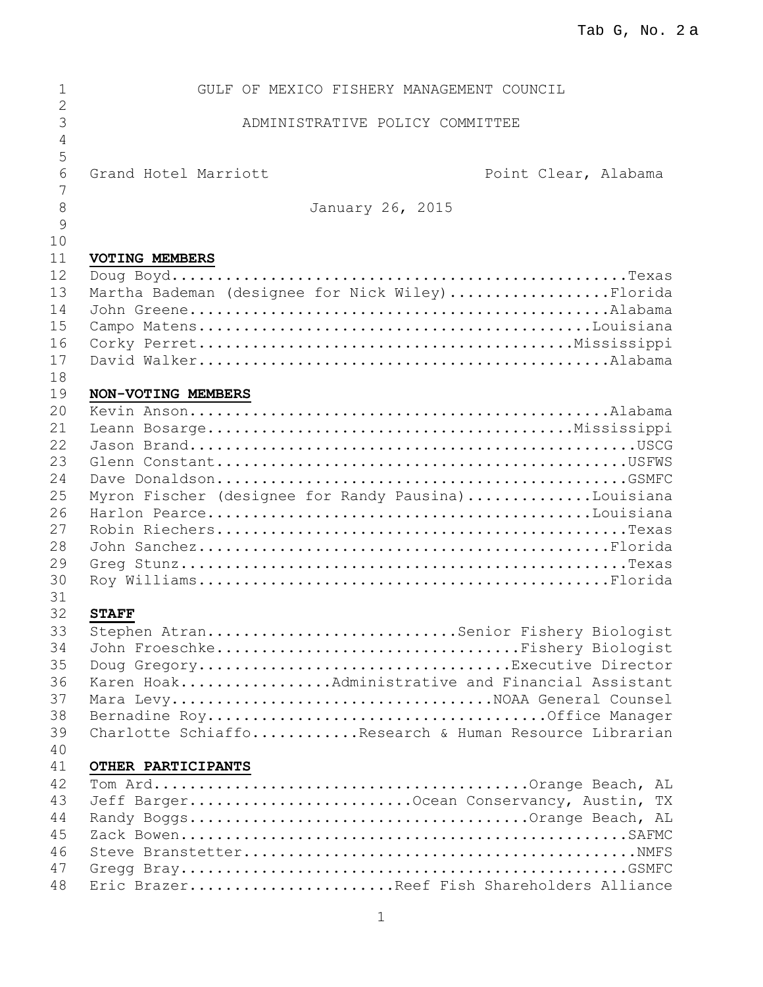| 1                   | GULF OF MEXICO FISHERY MANAGEMENT COUNCIL             |                      |
|---------------------|-------------------------------------------------------|----------------------|
| $\overline{2}$      |                                                       |                      |
| 3                   | ADMINISTRATIVE POLICY COMMITTEE                       |                      |
| $\overline{4}$<br>5 |                                                       |                      |
| 6                   | Grand Hotel Marriott                                  |                      |
| 7                   |                                                       | Point Clear, Alabama |
| 8                   | January 26, 2015                                      |                      |
| 9                   |                                                       |                      |
| 10                  |                                                       |                      |
| 11                  | VOTING MEMBERS                                        |                      |
| 12                  |                                                       |                      |
| 13                  | Martha Bademan (designee for Nick Wiley)Florida       |                      |
| 14                  |                                                       |                      |
| 15                  |                                                       |                      |
| 16                  |                                                       |                      |
| 17                  |                                                       |                      |
| 18                  |                                                       |                      |
| 19                  | NON-VOTING MEMBERS                                    |                      |
| 20<br>21            |                                                       |                      |
| 22                  |                                                       |                      |
| 23                  |                                                       |                      |
| 24                  |                                                       |                      |
| 25                  | Myron Fischer (designee for Randy Pausina)Louisiana   |                      |
| 26                  |                                                       |                      |
| 27                  |                                                       |                      |
| 28                  |                                                       |                      |
| 29                  |                                                       |                      |
| 30                  |                                                       |                      |
| 31                  |                                                       |                      |
| 32                  | <b>STAFF</b>                                          |                      |
| 33                  | Stephen AtranSenior Fishery Biologist                 |                      |
| 34                  | John FroeschkeFishery Biologist                       |                      |
| 35                  | Doug GregoryExecutive Director                        |                      |
| 36                  | Karen HoakAdministrative and Financial Assistant      |                      |
| 37<br>38            | Mara LevyNOAA General Counsel                         |                      |
| 39                  | Charlotte SchiaffoResearch & Human Resource Librarian |                      |
| 40                  |                                                       |                      |
| 41                  | OTHER PARTICIPANTS                                    |                      |
| 42                  |                                                       |                      |
| 43                  | Jeff BargerOcean Conservancy, Austin, TX              |                      |
| 44                  |                                                       |                      |
| 45                  |                                                       |                      |
| 46                  |                                                       |                      |
| 47                  |                                                       |                      |
| 48                  | Eric BrazerReef Fish Shareholders Alliance            |                      |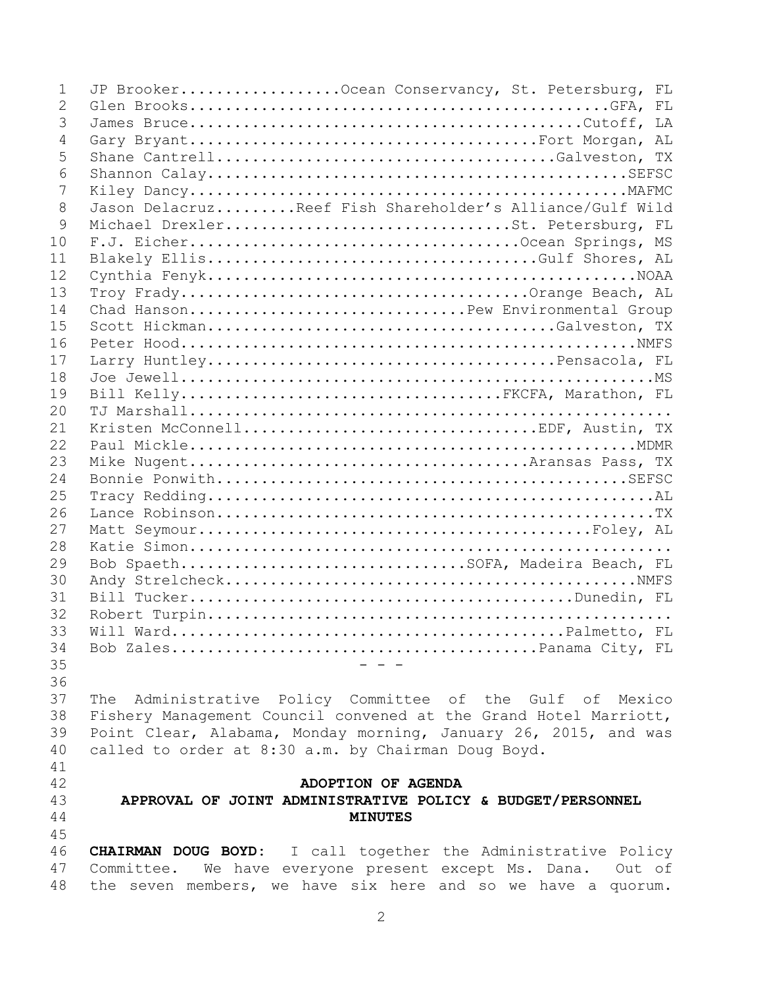| $\mathbf{1}$ | JP BrookerOcean Conservancy, St. Petersburg, FL                      |  |  |
|--------------|----------------------------------------------------------------------|--|--|
| 2            |                                                                      |  |  |
| 3            |                                                                      |  |  |
| 4            |                                                                      |  |  |
| 5            |                                                                      |  |  |
| 6            |                                                                      |  |  |
| 7            |                                                                      |  |  |
| 8            | Jason DelacruzReef Fish Shareholder's Alliance/Gulf Wild             |  |  |
| 9            | Michael DrexlerSt. Petersburg, FL                                    |  |  |
| 10           |                                                                      |  |  |
| 11           |                                                                      |  |  |
| 12           |                                                                      |  |  |
| 13           |                                                                      |  |  |
| 14           | Chad HansonPew Environmental Group                                   |  |  |
| 15           |                                                                      |  |  |
| 16           |                                                                      |  |  |
| 17           |                                                                      |  |  |
| 18           |                                                                      |  |  |
| 19           | Bill KellyFKCFA, Marathon, FL                                        |  |  |
| 20           |                                                                      |  |  |
| 21           |                                                                      |  |  |
| 22           |                                                                      |  |  |
| 23           |                                                                      |  |  |
| 24           |                                                                      |  |  |
| 25           |                                                                      |  |  |
| 26           |                                                                      |  |  |
| 27           |                                                                      |  |  |
| 28           |                                                                      |  |  |
| 29           | Bob SpaethSOFA, Madeira Beach, FL                                    |  |  |
| 30           |                                                                      |  |  |
| 31           |                                                                      |  |  |
| 32           |                                                                      |  |  |
| 33           |                                                                      |  |  |
| 34           |                                                                      |  |  |
| 35           |                                                                      |  |  |
| 36           |                                                                      |  |  |
| 37           | The Administrative Policy Committee of the Gulf of Mexico            |  |  |
| 38           | Fishery Management Council convened at the Grand Hotel Marriott,     |  |  |
| 39           | Point Clear, Alabama, Monday morning, January 26, 2015, and was      |  |  |
| 40           | called to order at 8:30 a.m. by Chairman Doug Boyd.                  |  |  |
| 41           |                                                                      |  |  |
| 42           | ADOPTION OF AGENDA                                                   |  |  |
| 43           | APPROVAL OF JOINT ADMINISTRATIVE POLICY & BUDGET/PERSONNEL           |  |  |
| 44           | <b>MINUTES</b>                                                       |  |  |
| 45           |                                                                      |  |  |
| 46           | <b>CHAIRMAN DOUG BOYD:</b> I call together the Administrative Policy |  |  |
| 47           | Committee. We have everyone present except Ms. Dana.<br>Out of       |  |  |
| 48           | the seven members, we have six here and so we have a quorum.         |  |  |
|              |                                                                      |  |  |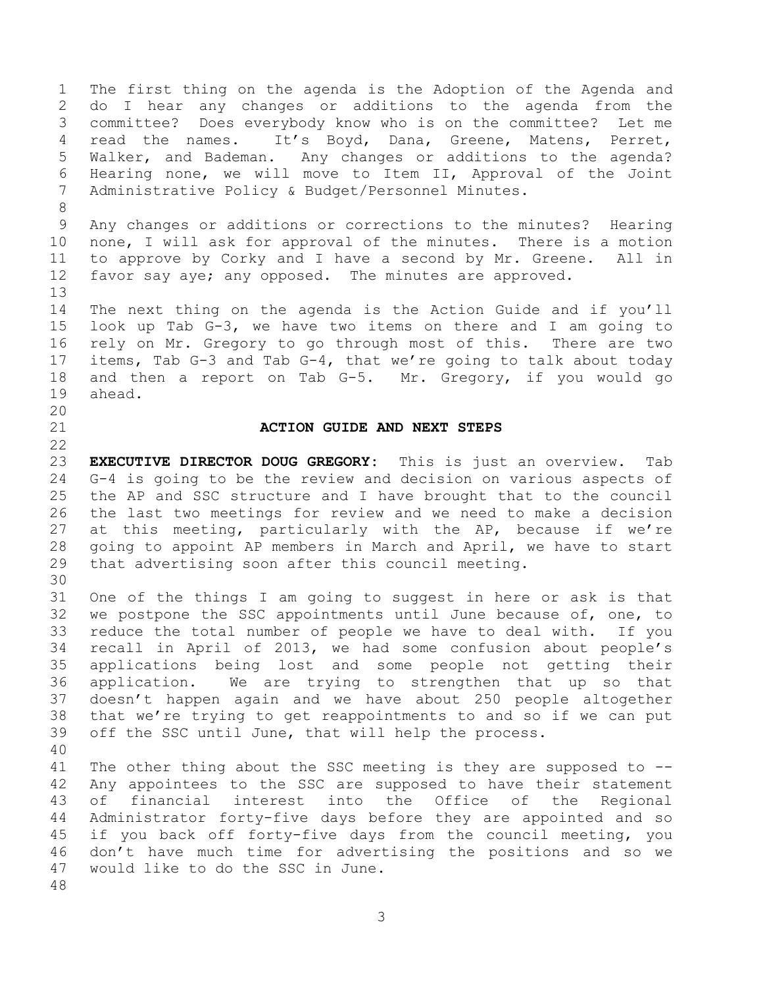The first thing on the agenda is the Adoption of the Agenda and do I hear any changes or additions to the agenda from the committee? Does everybody know who is on the committee? Let me read the names. It's Boyd, Dana, Greene, Matens, Perret, Walker, and Bademan. Any changes or additions to the agenda? Hearing none, we will move to Item II, Approval of the Joint Administrative Policy & Budget/Personnel Minutes. Any changes or additions or corrections to the minutes? Hearing none, I will ask for approval of the minutes. There is a motion to approve by Corky and I have a second by Mr. Greene. All in favor say aye; any opposed. The minutes are approved. The next thing on the agenda is the Action Guide and if you'll look up Tab G-3, we have two items on there and I am going to rely on Mr. Gregory to go through most of this. There are two items, Tab G-3 and Tab G-4, that we're going to talk about today and then a report on Tab G-5. Mr. Gregory, if you would go ahead. **ACTION GUIDE AND NEXT STEPS EXECUTIVE DIRECTOR DOUG GREGORY:** This is just an overview. Tab G-4 is going to be the review and decision on various aspects of the AP and SSC structure and I have brought that to the council the last two meetings for review and we need to make a decision at this meeting, particularly with the AP, because if we're going to appoint AP members in March and April, we have to start that advertising soon after this council meeting. One of the things I am going to suggest in here or ask is that we postpone the SSC appointments until June because of, one, to reduce the total number of people we have to deal with. If you recall in April of 2013, we had some confusion about people's applications being lost and some people not getting their application. We are trying to strengthen that up so that doesn't happen again and we have about 250 people altogether that we're trying to get reappointments to and so if we can put off the SSC until June, that will help the process. The other thing about the SSC meeting is they are supposed to -- Any appointees to the SSC are supposed to have their statement of financial interest into the Office of the Regional Administrator forty-five days before they are appointed and so if you back off forty-five days from the council meeting, you don't have much time for advertising the positions and so we would like to do the SSC in June.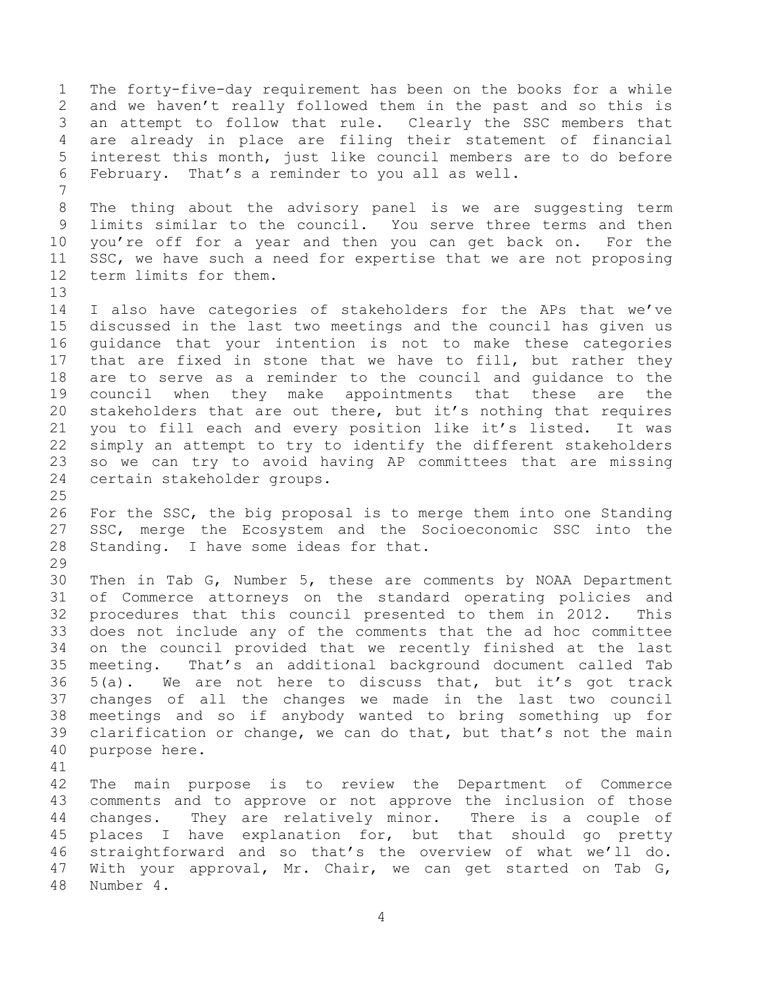The forty-five-day requirement has been on the books for a while and we haven't really followed them in the past and so this is an attempt to follow that rule. Clearly the SSC members that are already in place are filing their statement of financial interest this month, just like council members are to do before February. That's a reminder to you all as well. The thing about the advisory panel is we are suggesting term limits similar to the council. You serve three terms and then you're off for a year and then you can get back on. For the SSC, we have such a need for expertise that we are not proposing term limits for them. I also have categories of stakeholders for the APs that we've discussed in the last two meetings and the council has given us guidance that your intention is not to make these categories that are fixed in stone that we have to fill, but rather they are to serve as a reminder to the council and guidance to the council when they make appointments that these are the stakeholders that are out there, but it's nothing that requires you to fill each and every position like it's listed. It was simply an attempt to try to identify the different stakeholders so we can try to avoid having AP committees that are missing certain stakeholder groups. For the SSC, the big proposal is to merge them into one Standing SSC, merge the Ecosystem and the Socioeconomic SSC into the Standing. I have some ideas for that. Then in Tab G, Number 5, these are comments by NOAA Department of Commerce attorneys on the standard operating policies and procedures that this council presented to them in 2012. This does not include any of the comments that the ad hoc committee on the council provided that we recently finished at the last meeting. That's an additional background document called Tab 5(a). We are not here to discuss that, but it's got track changes of all the changes we made in the last two council meetings and so if anybody wanted to bring something up for clarification or change, we can do that, but that's not the main purpose here. The main purpose is to review the Department of Commerce comments and to approve or not approve the inclusion of those changes. They are relatively minor. There is a couple of places I have explanation for, but that should go pretty straightforward and so that's the overview of what we'll do. With your approval, Mr. Chair, we can get started on Tab G, Number 4.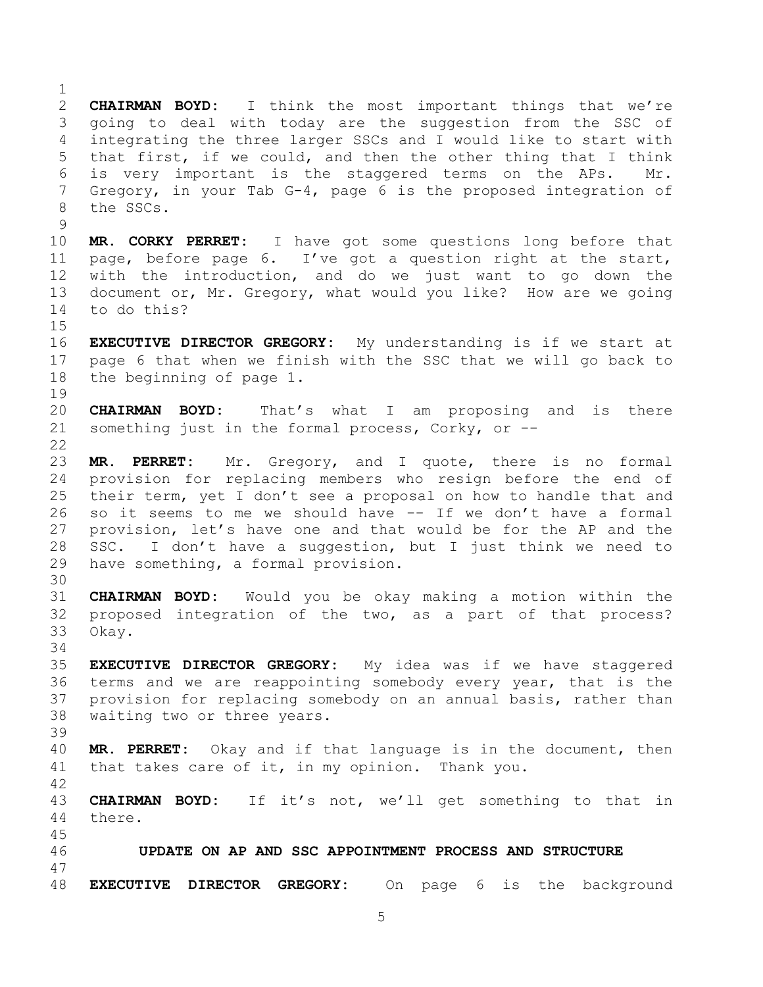**CHAIRMAN BOYD:** I think the most important things that we're going to deal with today are the suggestion from the SSC of integrating the three larger SSCs and I would like to start with that first, if we could, and then the other thing that I think 6 is very important is the staggered terms on the APs. Gregory, in your Tab G-4, page 6 is the proposed integration of the SSCs. **MR. CORKY PERRET:** I have got some questions long before that page, before page 6. I've got a question right at the start, with the introduction, and do we just want to go down the document or, Mr. Gregory, what would you like? How are we going to do this? **EXECUTIVE DIRECTOR GREGORY:** My understanding is if we start at page 6 that when we finish with the SSC that we will go back to the beginning of page 1. **CHAIRMAN BOYD:** That's what I am proposing and is there something just in the formal process, Corky, or -- **MR. PERRET:** Mr. Gregory, and I quote, there is no formal provision for replacing members who resign before the end of their term, yet I don't see a proposal on how to handle that and so it seems to me we should have -- If we don't have a formal provision, let's have one and that would be for the AP and the SSC. I don't have a suggestion, but I just think we need to have something, a formal provision. **CHAIRMAN BOYD:** Would you be okay making a motion within the proposed integration of the two, as a part of that process? Okay.

 **EXECUTIVE DIRECTOR GREGORY:** My idea was if we have staggered terms and we are reappointing somebody every year, that is the provision for replacing somebody on an annual basis, rather than waiting two or three years. 

 **MR. PERRET:** Okay and if that language is in the document, then that takes care of it, in my opinion. Thank you.

 **CHAIRMAN BOYD:** If it's not, we'll get something to that in there.

 **UPDATE ON AP AND SSC APPOINTMENT PROCESS AND STRUCTURE EXECUTIVE DIRECTOR GREGORY:** On page 6 is the background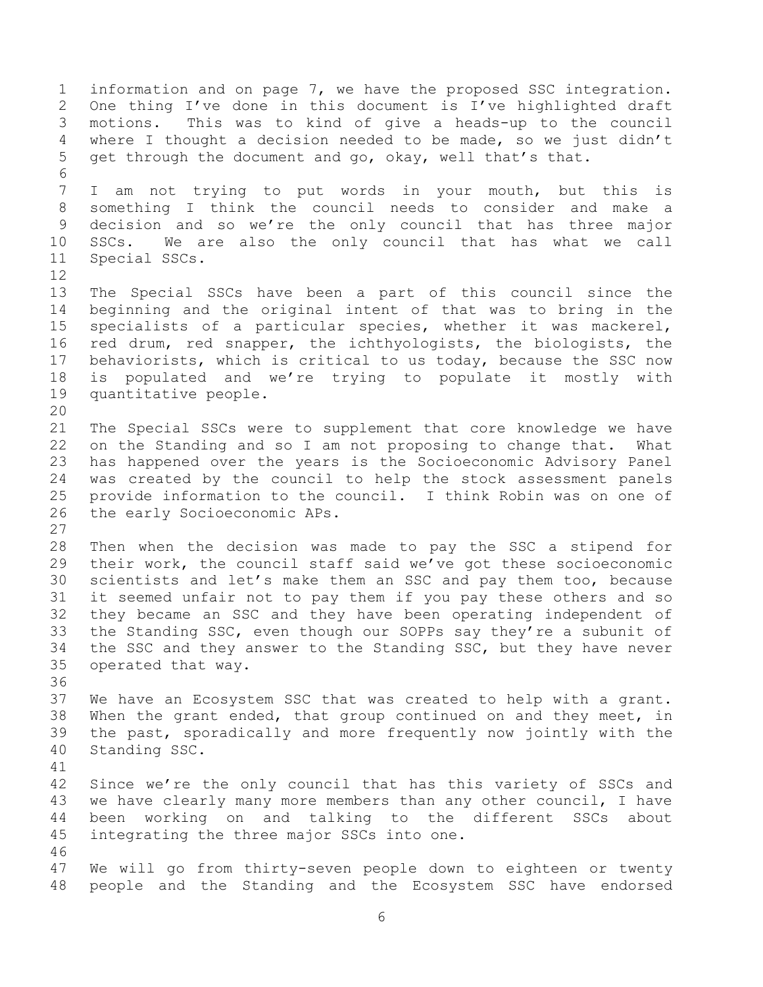information and on page 7, we have the proposed SSC integration. One thing I've done in this document is I've highlighted draft motions. This was to kind of give a heads-up to the council where I thought a decision needed to be made, so we just didn't get through the document and go, okay, well that's that. I am not trying to put words in your mouth, but this is something I think the council needs to consider and make a decision and so we're the only council that has three major SSCs. We are also the only council that has what we call Special SSCs. The Special SSCs have been a part of this council since the beginning and the original intent of that was to bring in the specialists of a particular species, whether it was mackerel, red drum, red snapper, the ichthyologists, the biologists, the behaviorists, which is critical to us today, because the SSC now is populated and we're trying to populate it mostly with quantitative people. The Special SSCs were to supplement that core knowledge we have on the Standing and so I am not proposing to change that. What has happened over the years is the Socioeconomic Advisory Panel was created by the council to help the stock assessment panels provide information to the council. I think Robin was on one of the early Socioeconomic APs. Then when the decision was made to pay the SSC a stipend for their work, the council staff said we've got these socioeconomic scientists and let's make them an SSC and pay them too, because it seemed unfair not to pay them if you pay these others and so they became an SSC and they have been operating independent of the Standing SSC, even though our SOPPs say they're a subunit of the SSC and they answer to the Standing SSC, but they have never operated that way. We have an Ecosystem SSC that was created to help with a grant. When the grant ended, that group continued on and they meet, in the past, sporadically and more frequently now jointly with the Standing SSC. Since we're the only council that has this variety of SSCs and 43 we have clearly many more members than any other council, I have been working on and talking to the different SSCs about integrating the three major SSCs into one. We will go from thirty-seven people down to eighteen or twenty people and the Standing and the Ecosystem SSC have endorsed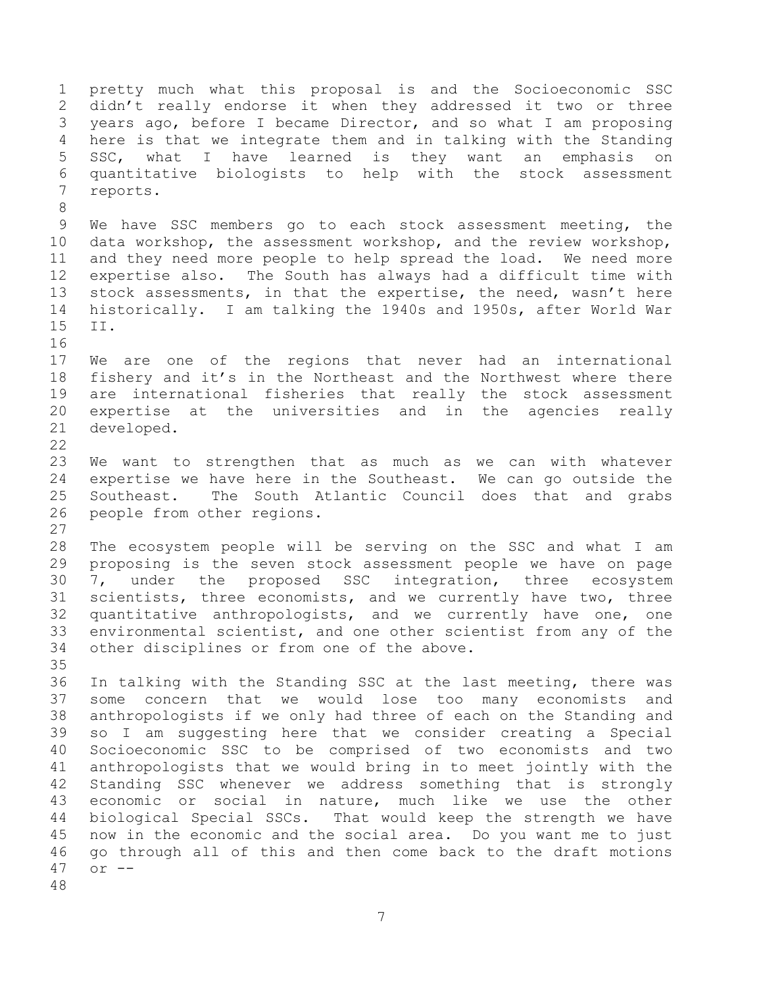pretty much what this proposal is and the Socioeconomic SSC didn't really endorse it when they addressed it two or three years ago, before I became Director, and so what I am proposing here is that we integrate them and in talking with the Standing SSC, what I have learned is they want an emphasis on quantitative biologists to help with the stock assessment reports. We have SSC members go to each stock assessment meeting, the data workshop, the assessment workshop, and the review workshop, and they need more people to help spread the load. We need more expertise also. The South has always had a difficult time with stock assessments, in that the expertise, the need, wasn't here historically. I am talking the 1940s and 1950s, after World War II. We are one of the regions that never had an international fishery and it's in the Northeast and the Northwest where there are international fisheries that really the stock assessment expertise at the universities and in the agencies really developed. We want to strengthen that as much as we can with whatever expertise we have here in the Southeast. We can go outside the Southeast. The South Atlantic Council does that and grabs people from other regions. The ecosystem people will be serving on the SSC and what I am proposing is the seven stock assessment people we have on page 7, under the proposed SSC integration, three ecosystem scientists, three economists, and we currently have two, three quantitative anthropologists, and we currently have one, one environmental scientist, and one other scientist from any of the other disciplines or from one of the above. In talking with the Standing SSC at the last meeting, there was some concern that we would lose too many economists and anthropologists if we only had three of each on the Standing and so I am suggesting here that we consider creating a Special Socioeconomic SSC to be comprised of two economists and two anthropologists that we would bring in to meet jointly with the Standing SSC whenever we address something that is strongly economic or social in nature, much like we use the other biological Special SSCs. That would keep the strength we have now in the economic and the social area. Do you want me to just go through all of this and then come back to the draft motions or --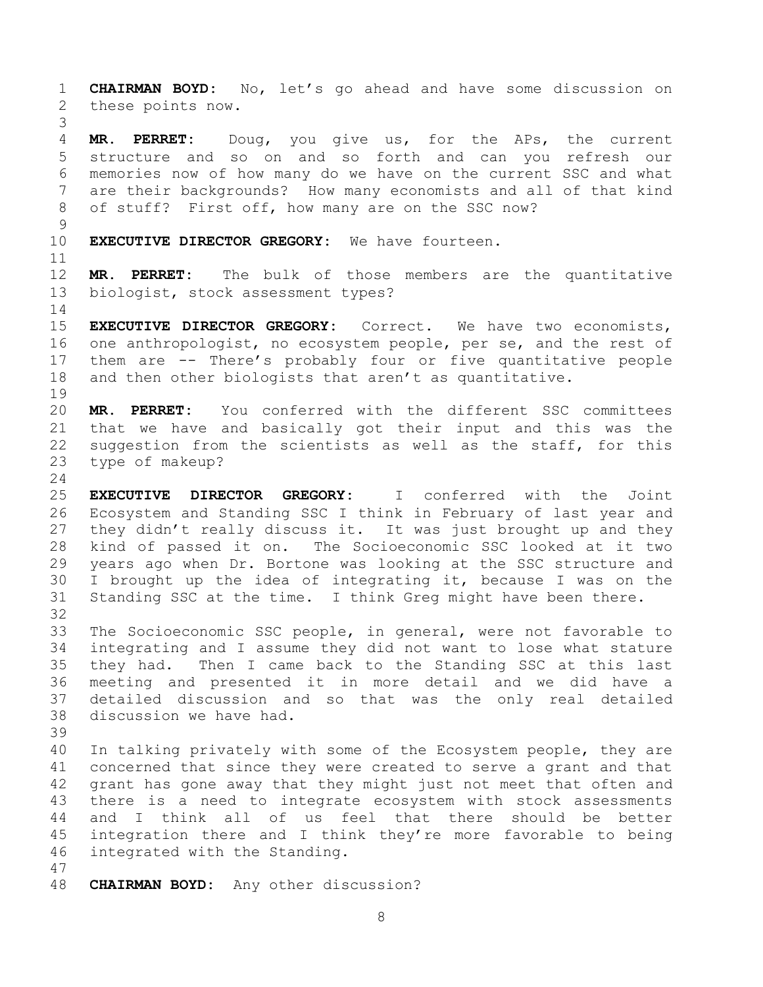**CHAIRMAN BOYD:** No, let's go ahead and have some discussion on these points now. **MR. PERRET:** Doug, you give us, for the APs, the current structure and so on and so forth and can you refresh our memories now of how many do we have on the current SSC and what are their backgrounds? How many economists and all of that kind of stuff? First off, how many are on the SSC now? **EXECUTIVE DIRECTOR GREGORY:** We have fourteen. **MR. PERRET:** The bulk of those members are the quantitative biologist, stock assessment types? **EXECUTIVE DIRECTOR GREGORY:** Correct. We have two economists, 16 one anthropologist, no ecosystem people, per se, and the rest of them are -- There's probably four or five quantitative people and then other biologists that aren't as quantitative. **MR. PERRET:** You conferred with the different SSC committees that we have and basically got their input and this was the suggestion from the scientists as well as the staff, for this type of makeup? **EXECUTIVE DIRECTOR GREGORY:** I conferred with the Joint Ecosystem and Standing SSC I think in February of last year and 27 they didn't really discuss it. It was just brought up and they kind of passed it on. The Socioeconomic SSC looked at it two years ago when Dr. Bortone was looking at the SSC structure and I brought up the idea of integrating it, because I was on the Standing SSC at the time. I think Greg might have been there. The Socioeconomic SSC people, in general, were not favorable to integrating and I assume they did not want to lose what stature they had. Then I came back to the Standing SSC at this last meeting and presented it in more detail and we did have a detailed discussion and so that was the only real detailed discussion we have had. In talking privately with some of the Ecosystem people, they are concerned that since they were created to serve a grant and that grant has gone away that they might just not meet that often and there is a need to integrate ecosystem with stock assessments and I think all of us feel that there should be better integration there and I think they're more favorable to being integrated with the Standing. **CHAIRMAN BOYD:** Any other discussion?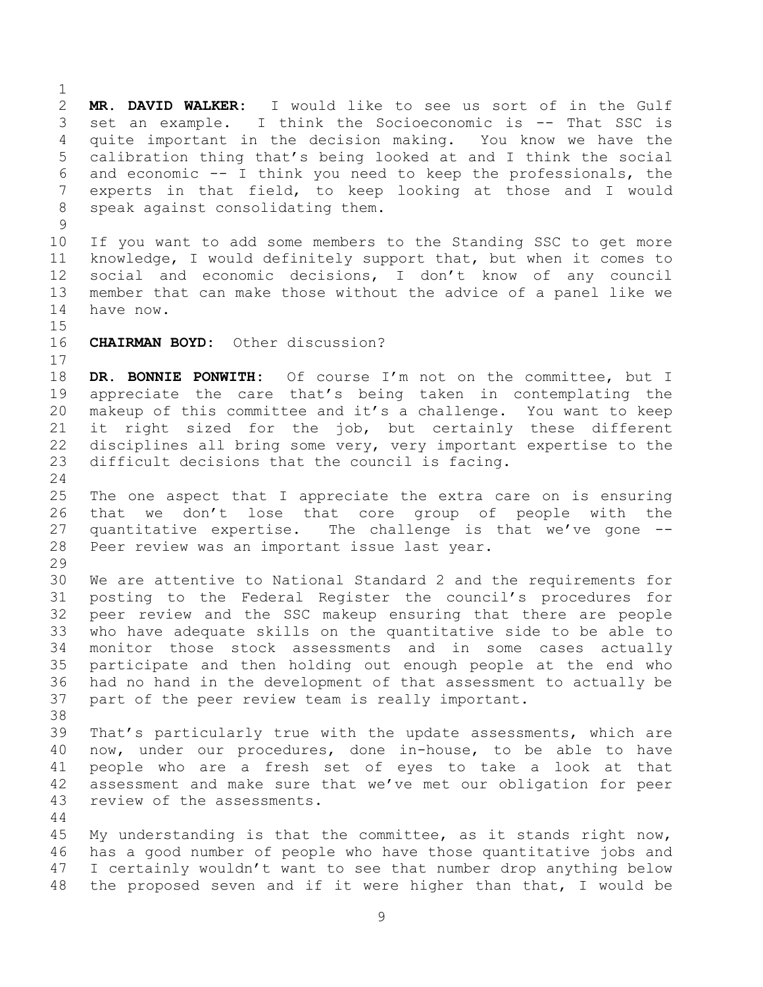**MR. DAVID WALKER:** I would like to see us sort of in the Gulf set an example. I think the Socioeconomic is -- That SSC is quite important in the decision making. You know we have the calibration thing that's being looked at and I think the social and economic -- I think you need to keep the professionals, the experts in that field, to keep looking at those and I would speak against consolidating them. If you want to add some members to the Standing SSC to get more knowledge, I would definitely support that, but when it comes to social and economic decisions, I don't know of any council member that can make those without the advice of a panel like we have now. **CHAIRMAN BOYD:** Other discussion? **DR. BONNIE PONWITH:** Of course I'm not on the committee, but I appreciate the care that's being taken in contemplating the makeup of this committee and it's a challenge. You want to keep it right sized for the job, but certainly these different disciplines all bring some very, very important expertise to the difficult decisions that the council is facing. The one aspect that I appreciate the extra care on is ensuring that we don't lose that core group of people with the quantitative expertise. The challenge is that we've gone -- Peer review was an important issue last year. We are attentive to National Standard 2 and the requirements for posting to the Federal Register the council's procedures for peer review and the SSC makeup ensuring that there are people who have adequate skills on the quantitative side to be able to monitor those stock assessments and in some cases actually participate and then holding out enough people at the end who had no hand in the development of that assessment to actually be part of the peer review team is really important. That's particularly true with the update assessments, which are now, under our procedures, done in-house, to be able to have people who are a fresh set of eyes to take a look at that assessment and make sure that we've met our obligation for peer review of the assessments. My understanding is that the committee, as it stands right now, has a good number of people who have those quantitative jobs and I certainly wouldn't want to see that number drop anything below the proposed seven and if it were higher than that, I would be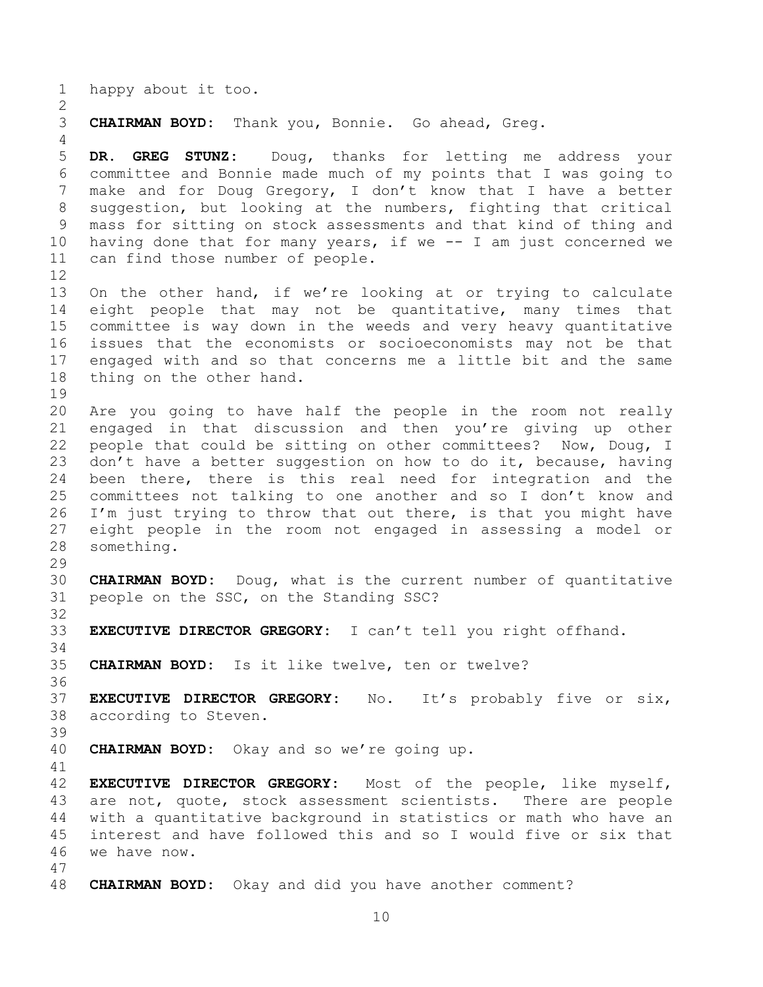happy about it too.

**CHAIRMAN BOYD:** Thank you, Bonnie. Go ahead, Greg.

 **DR. GREG STUNZ:** Doug, thanks for letting me address your committee and Bonnie made much of my points that I was going to make and for Doug Gregory, I don't know that I have a better suggestion, but looking at the numbers, fighting that critical mass for sitting on stock assessments and that kind of thing and having done that for many years, if we -- I am just concerned we can find those number of people. 

 On the other hand, if we're looking at or trying to calculate eight people that may not be quantitative, many times that committee is way down in the weeds and very heavy quantitative issues that the economists or socioeconomists may not be that engaged with and so that concerns me a little bit and the same thing on the other hand.

 Are you going to have half the people in the room not really engaged in that discussion and then you're giving up other people that could be sitting on other committees? Now, Doug, I 23 don't have a better suggestion on how to do it, because, having been there, there is this real need for integration and the committees not talking to one another and so I don't know and I'm just trying to throw that out there, is that you might have eight people in the room not engaged in assessing a model or something.

 **CHAIRMAN BOYD:** Doug, what is the current number of quantitative people on the SSC, on the Standing SSC?

**EXECUTIVE DIRECTOR GREGORY:** I can't tell you right offhand.

**CHAIRMAN BOYD:** Is it like twelve, ten or twelve?

 **EXECUTIVE DIRECTOR GREGORY:** No. It's probably five or six, according to Steven.

**CHAIRMAN BOYD:** Okay and so we're going up.

 **EXECUTIVE DIRECTOR GREGORY:** Most of the people, like myself, are not, quote, stock assessment scientists. There are people with a quantitative background in statistics or math who have an interest and have followed this and so I would five or six that we have now. 

**CHAIRMAN BOYD:** Okay and did you have another comment?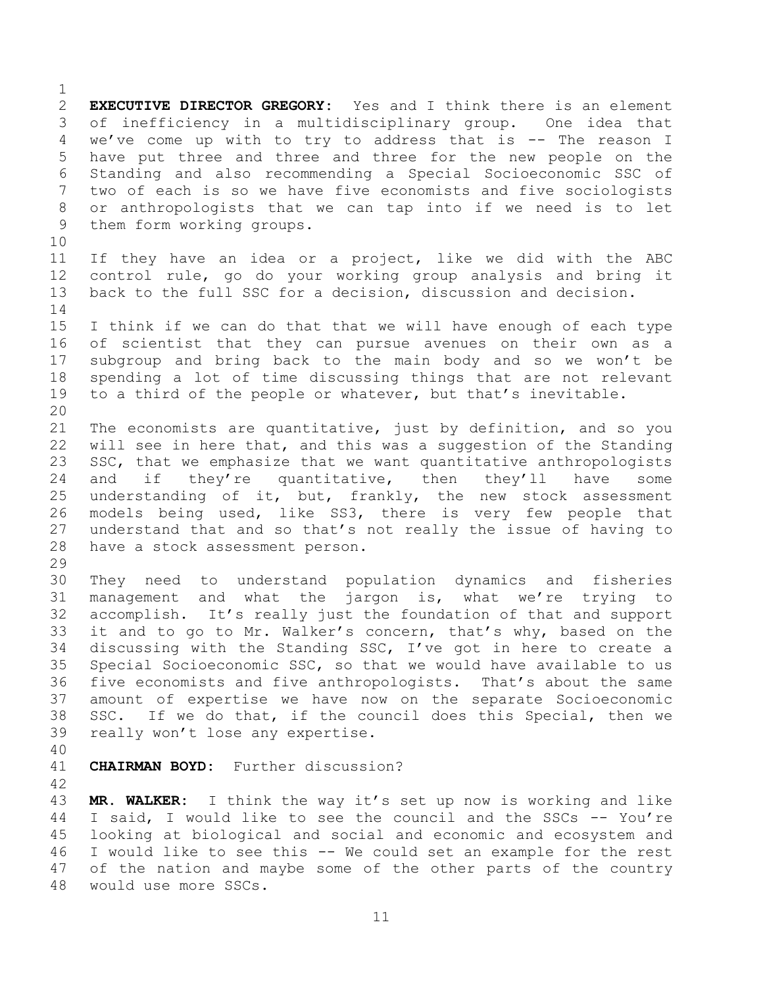**EXECUTIVE DIRECTOR GREGORY:** Yes and I think there is an element of inefficiency in a multidisciplinary group. One idea that we've come up with to try to address that is -- The reason I have put three and three and three for the new people on the Standing and also recommending a Special Socioeconomic SSC of two of each is so we have five economists and five sociologists or anthropologists that we can tap into if we need is to let them form working groups. If they have an idea or a project, like we did with the ABC control rule, go do your working group analysis and bring it back to the full SSC for a decision, discussion and decision. I think if we can do that that we will have enough of each type of scientist that they can pursue avenues on their own as a subgroup and bring back to the main body and so we won't be spending a lot of time discussing things that are not relevant to a third of the people or whatever, but that's inevitable. The economists are quantitative, just by definition, and so you will see in here that, and this was a suggestion of the Standing SSC, that we emphasize that we want quantitative anthropologists 24 and if they're quantitative, then they'll have some understanding of it, but, frankly, the new stock assessment models being used, like SS3, there is very few people that understand that and so that's not really the issue of having to have a stock assessment person. They need to understand population dynamics and fisheries management and what the jargon is, what we're trying to accomplish. It's really just the foundation of that and support it and to go to Mr. Walker's concern, that's why, based on the discussing with the Standing SSC, I've got in here to create a Special Socioeconomic SSC, so that we would have available to us five economists and five anthropologists. That's about the same amount of expertise we have now on the separate Socioeconomic SSC. If we do that, if the council does this Special, then we really won't lose any expertise. **CHAIRMAN BOYD:** Further discussion? **MR. WALKER:** I think the way it's set up now is working and like I said, I would like to see the council and the SSCs -- You're looking at biological and social and economic and ecosystem and

 I would like to see this -- We could set an example for the rest of the nation and maybe some of the other parts of the country would use more SSCs.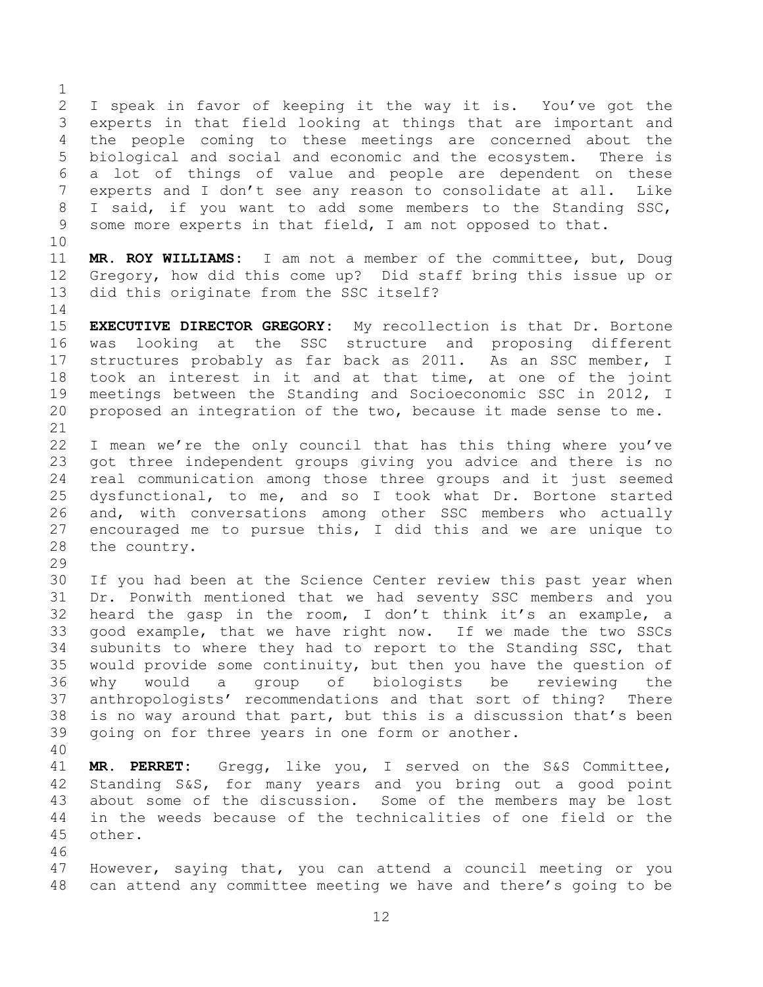I speak in favor of keeping it the way it is. You've got the experts in that field looking at things that are important and the people coming to these meetings are concerned about the biological and social and economic and the ecosystem. There is a lot of things of value and people are dependent on these experts and I don't see any reason to consolidate at all. Like I said, if you want to add some members to the Standing SSC, some more experts in that field, I am not opposed to that.

 **MR. ROY WILLIAMS:** I am not a member of the committee, but, Doug Gregory, how did this come up? Did staff bring this issue up or did this originate from the SSC itself?

 **EXECUTIVE DIRECTOR GREGORY:** My recollection is that Dr. Bortone was looking at the SSC structure and proposing different structures probably as far back as 2011. As an SSC member, I took an interest in it and at that time, at one of the joint meetings between the Standing and Socioeconomic SSC in 2012, I proposed an integration of the two, because it made sense to me.

 I mean we're the only council that has this thing where you've got three independent groups giving you advice and there is no real communication among those three groups and it just seemed dysfunctional, to me, and so I took what Dr. Bortone started and, with conversations among other SSC members who actually encouraged me to pursue this, I did this and we are unique to the country.

 If you had been at the Science Center review this past year when Dr. Ponwith mentioned that we had seventy SSC members and you heard the gasp in the room, I don't think it's an example, a good example, that we have right now. If we made the two SSCs subunits to where they had to report to the Standing SSC, that would provide some continuity, but then you have the question of why would a group of biologists be reviewing the anthropologists' recommendations and that sort of thing? There is no way around that part, but this is a discussion that's been going on for three years in one form or another.

 **MR. PERRET:** Gregg, like you, I served on the S&S Committee, Standing S&S, for many years and you bring out a good point about some of the discussion. Some of the members may be lost in the weeds because of the technicalities of one field or the other.

 However, saying that, you can attend a council meeting or you can attend any committee meeting we have and there's going to be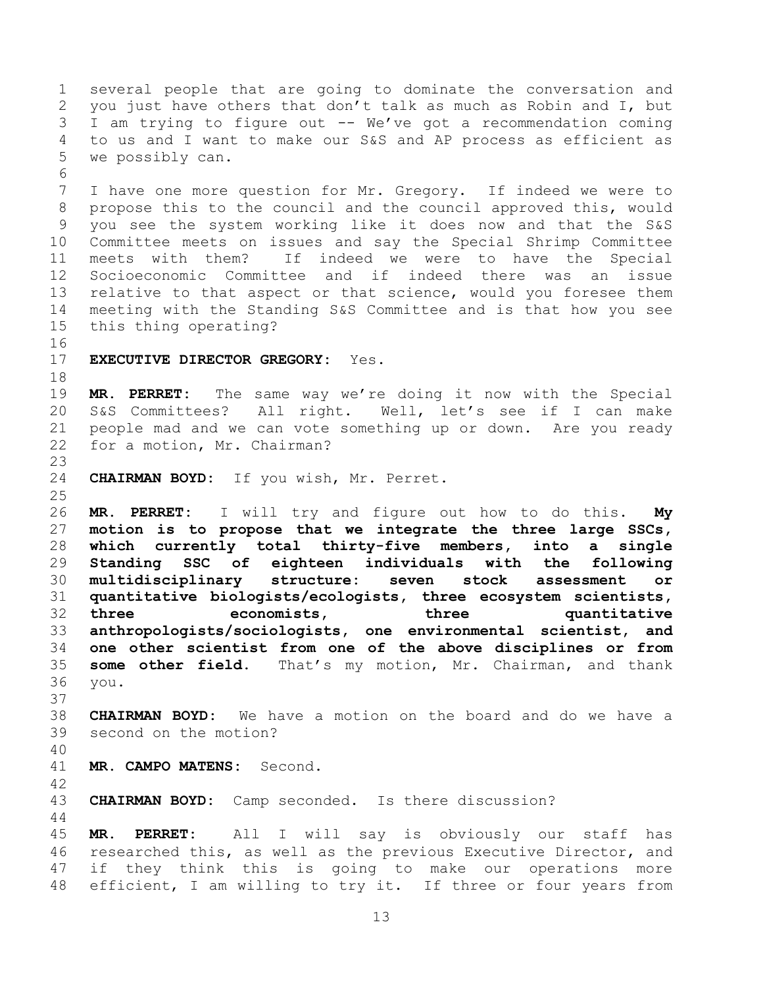several people that are going to dominate the conversation and you just have others that don't talk as much as Robin and I, but I am trying to figure out -- We've got a recommendation coming to us and I want to make our S&S and AP process as efficient as we possibly can. I have one more question for Mr. Gregory. If indeed we were to propose this to the council and the council approved this, would you see the system working like it does now and that the S&S Committee meets on issues and say the Special Shrimp Committee meets with them? If indeed we were to have the Special Socioeconomic Committee and if indeed there was an issue relative to that aspect or that science, would you foresee them meeting with the Standing S&S Committee and is that how you see this thing operating? **EXECUTIVE DIRECTOR GREGORY:** Yes. **MR. PERRET:** The same way we're doing it now with the Special S&S Committees? All right. Well, let's see if I can make people mad and we can vote something up or down. Are you ready for a motion, Mr. Chairman? **CHAIRMAN BOYD:** If you wish, Mr. Perret. **MR. PERRET:** I will try and figure out how to do this. **My motion is to propose that we integrate the three large SSCs, which currently total thirty-five members, into a single Standing SSC of eighteen individuals with the following multidisciplinary structure: seven stock assessment or quantitative biologists/ecologists, three ecosystem scientists, three economists, three quantitative anthropologists/sociologists, one environmental scientist, and one other scientist from one of the above disciplines or from some other field.** That's my motion, Mr. Chairman, and thank you. **CHAIRMAN BOYD:** We have a motion on the board and do we have a second on the motion? **MR. CAMPO MATENS:** Second. **CHAIRMAN BOYD:** Camp seconded. Is there discussion? **MR. PERRET:** All I will say is obviously our staff has researched this, as well as the previous Executive Director, and if they think this is going to make our operations more

efficient, I am willing to try it. If three or four years from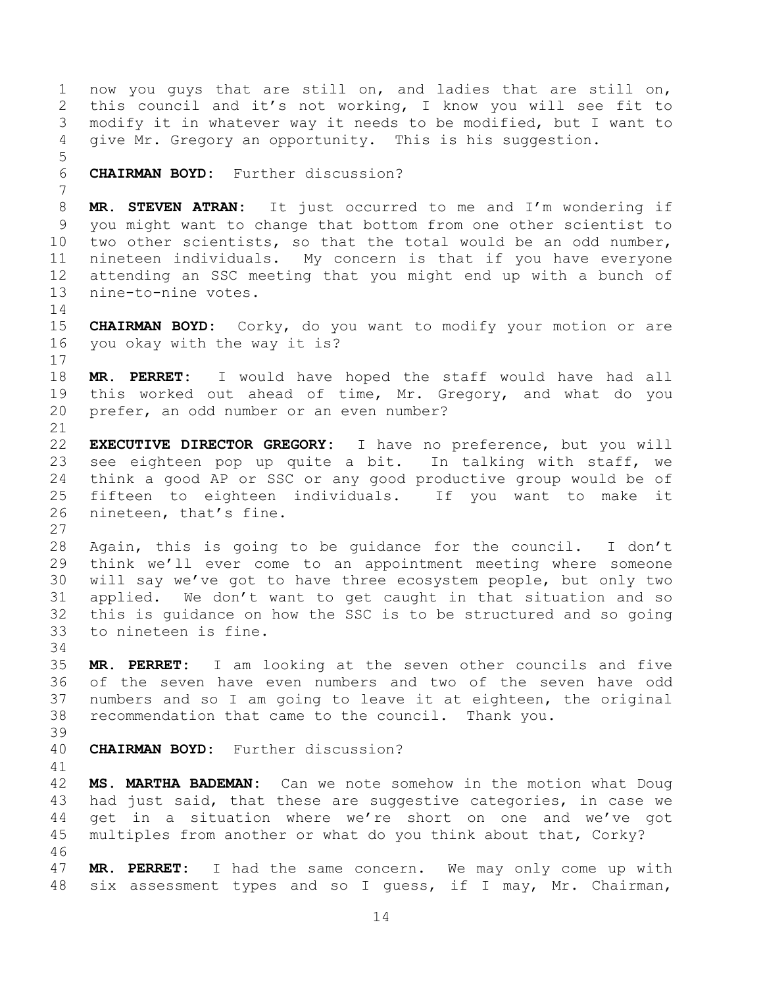now you guys that are still on, and ladies that are still on, this council and it's not working, I know you will see fit to modify it in whatever way it needs to be modified, but I want to give Mr. Gregory an opportunity. This is his suggestion. **CHAIRMAN BOYD:** Further discussion? **MR. STEVEN ATRAN:** It just occurred to me and I'm wondering if you might want to change that bottom from one other scientist to two other scientists, so that the total would be an odd number, nineteen individuals. My concern is that if you have everyone attending an SSC meeting that you might end up with a bunch of nine-to-nine votes. **CHAIRMAN BOYD:** Corky, do you want to modify your motion or are you okay with the way it is? **MR. PERRET:** I would have hoped the staff would have had all this worked out ahead of time, Mr. Gregory, and what do you prefer, an odd number or an even number? **EXECUTIVE DIRECTOR GREGORY:** I have no preference, but you will see eighteen pop up quite a bit. In talking with staff, we think a good AP or SSC or any good productive group would be of fifteen to eighteen individuals. If you want to make it nineteen, that's fine. Again, this is going to be guidance for the council. I don't think we'll ever come to an appointment meeting where someone will say we've got to have three ecosystem people, but only two applied. We don't want to get caught in that situation and so this is guidance on how the SSC is to be structured and so going to nineteen is fine. **MR. PERRET:** I am looking at the seven other councils and five of the seven have even numbers and two of the seven have odd numbers and so I am going to leave it at eighteen, the original recommendation that came to the council. Thank you. **CHAIRMAN BOYD:** Further discussion? **MS. MARTHA BADEMAN:** Can we note somehow in the motion what Doug had just said, that these are suggestive categories, in case we get in a situation where we're short on one and we've got multiples from another or what do you think about that, Corky? **MR. PERRET:** I had the same concern. We may only come up with six assessment types and so I guess, if I may, Mr. Chairman,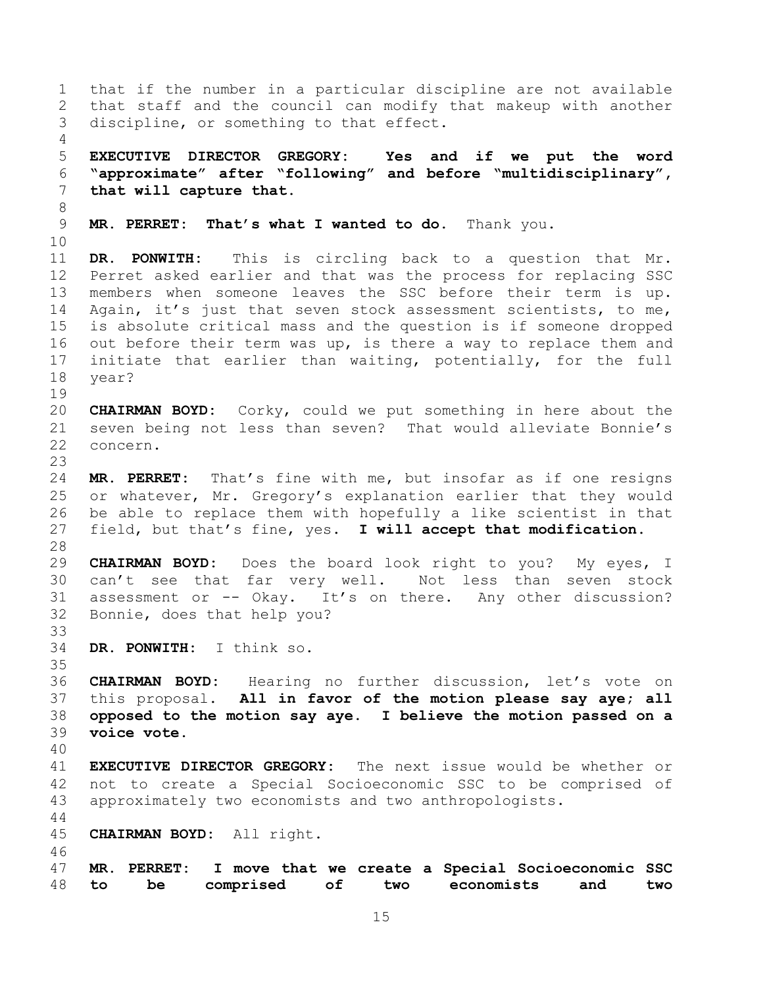that if the number in a particular discipline are not available that staff and the council can modify that makeup with another discipline, or something to that effect. **EXECUTIVE DIRECTOR GREGORY: Yes and if we put the word "approximate" after "following" and before "multidisciplinary", that will capture that. MR. PERRET: That's what I wanted to do.** Thank you. **DR. PONWITH:** This is circling back to a question that Mr. Perret asked earlier and that was the process for replacing SSC members when someone leaves the SSC before their term is up. 14 Again, it's just that seven stock assessment scientists, to me, is absolute critical mass and the question is if someone dropped out before their term was up, is there a way to replace them and initiate that earlier than waiting, potentially, for the full year? **CHAIRMAN BOYD:** Corky, could we put something in here about the seven being not less than seven? That would alleviate Bonnie's concern. **MR. PERRET:** That's fine with me, but insofar as if one resigns or whatever, Mr. Gregory's explanation earlier that they would be able to replace them with hopefully a like scientist in that field, but that's fine, yes. **I will accept that modification. CHAIRMAN BOYD:** Does the board look right to you? My eyes, I can't see that far very well. Not less than seven stock assessment or -- Okay. It's on there. Any other discussion? Bonnie, does that help you? **DR. PONWITH:** I think so. **CHAIRMAN BOYD:** Hearing no further discussion, let's vote on this proposal. **All in favor of the motion please say aye; all opposed to the motion say aye. I believe the motion passed on a voice vote. EXECUTIVE DIRECTOR GREGORY:** The next issue would be whether or not to create a Special Socioeconomic SSC to be comprised of approximately two economists and two anthropologists. **CHAIRMAN BOYD:** All right. **MR. PERRET: I move that we create a Special Socioeconomic SSC to be comprised of two economists and two**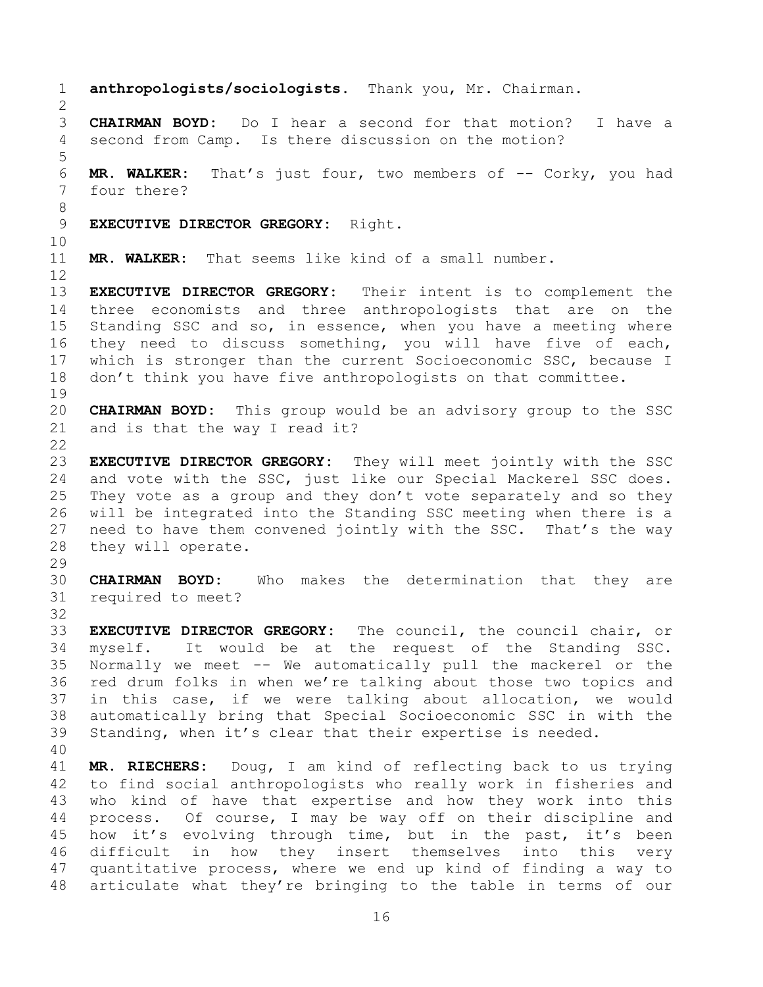**anthropologists/sociologists.** Thank you, Mr. Chairman. **CHAIRMAN BOYD:** Do I hear a second for that motion? I have a second from Camp. Is there discussion on the motion? **MR. WALKER:** That's just four, two members of -- Corky, you had four there? **EXECUTIVE DIRECTOR GREGORY:** Right. **MR. WALKER:** That seems like kind of a small number. **EXECUTIVE DIRECTOR GREGORY:** Their intent is to complement the three economists and three anthropologists that are on the Standing SSC and so, in essence, when you have a meeting where they need to discuss something, you will have five of each, which is stronger than the current Socioeconomic SSC, because I don't think you have five anthropologists on that committee. **CHAIRMAN BOYD:** This group would be an advisory group to the SSC and is that the way I read it? **EXECUTIVE DIRECTOR GREGORY:** They will meet jointly with the SSC and vote with the SSC, just like our Special Mackerel SSC does. They vote as a group and they don't vote separately and so they will be integrated into the Standing SSC meeting when there is a need to have them convened jointly with the SSC. That's the way they will operate. **CHAIRMAN BOYD:** Who makes the determination that they are required to meet? **EXECUTIVE DIRECTOR GREGORY:** The council, the council chair, or myself. It would be at the request of the Standing SSC. Normally we meet -- We automatically pull the mackerel or the red drum folks in when we're talking about those two topics and in this case, if we were talking about allocation, we would automatically bring that Special Socioeconomic SSC in with the Standing, when it's clear that their expertise is needed. **MR. RIECHERS:** Doug, I am kind of reflecting back to us trying to find social anthropologists who really work in fisheries and who kind of have that expertise and how they work into this process. Of course, I may be way off on their discipline and how it's evolving through time, but in the past, it's been difficult in how they insert themselves into this very quantitative process, where we end up kind of finding a way to articulate what they're bringing to the table in terms of our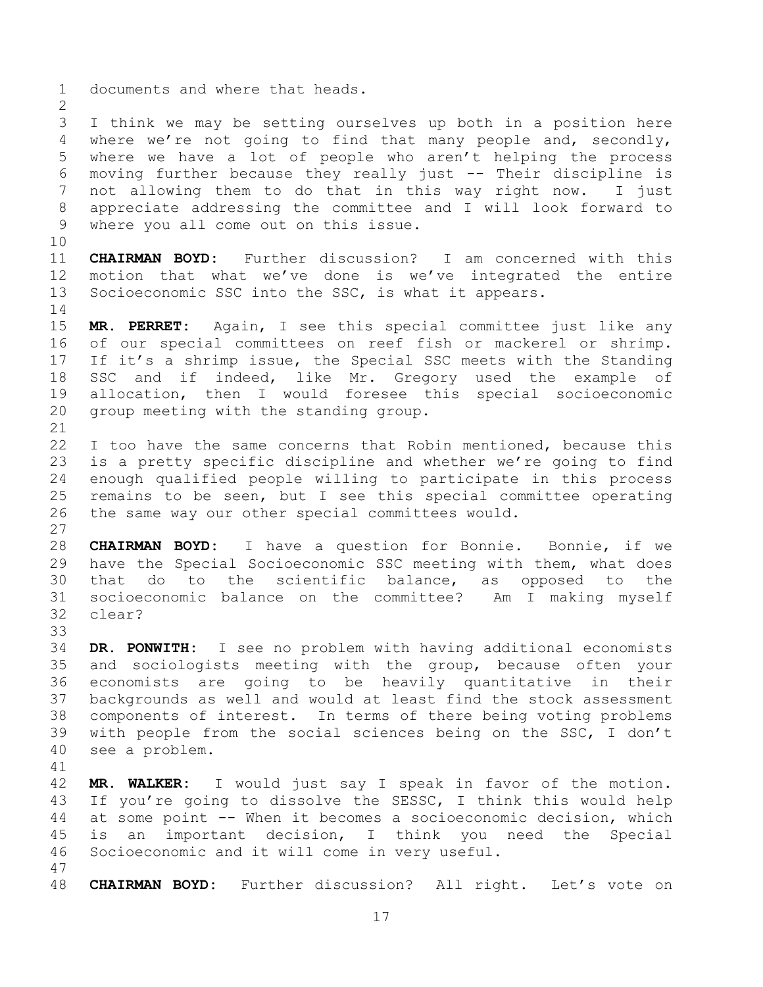documents and where that heads. I think we may be setting ourselves up both in a position here where we're not going to find that many people and, secondly, where we have a lot of people who aren't helping the process moving further because they really just -- Their discipline is not allowing them to do that in this way right now. I just appreciate addressing the committee and I will look forward to where you all come out on this issue. **CHAIRMAN BOYD:** Further discussion? I am concerned with this motion that what we've done is we've integrated the entire Socioeconomic SSC into the SSC, is what it appears. **MR. PERRET:** Again, I see this special committee just like any of our special committees on reef fish or mackerel or shrimp. If it's a shrimp issue, the Special SSC meets with the Standing SSC and if indeed, like Mr. Gregory used the example of allocation, then I would foresee this special socioeconomic group meeting with the standing group. 22 I too have the same concerns that Robin mentioned, because this is a pretty specific discipline and whether we're going to find enough qualified people willing to participate in this process remains to be seen, but I see this special committee operating the same way our other special committees would. **CHAIRMAN BOYD:** I have a question for Bonnie. Bonnie, if we have the Special Socioeconomic SSC meeting with them, what does that do to the scientific balance, as opposed to the socioeconomic balance on the committee? Am I making myself clear? **DR. PONWITH:** I see no problem with having additional economists and sociologists meeting with the group, because often your economists are going to be heavily quantitative in their backgrounds as well and would at least find the stock assessment components of interest. In terms of there being voting problems with people from the social sciences being on the SSC, I don't see a problem. **MR. WALKER:** I would just say I speak in favor of the motion. If you're going to dissolve the SESSC, I think this would help at some point -- When it becomes a socioeconomic decision, which is an important decision, I think you need the Special Socioeconomic and it will come in very useful. 

**CHAIRMAN BOYD:** Further discussion? All right. Let's vote on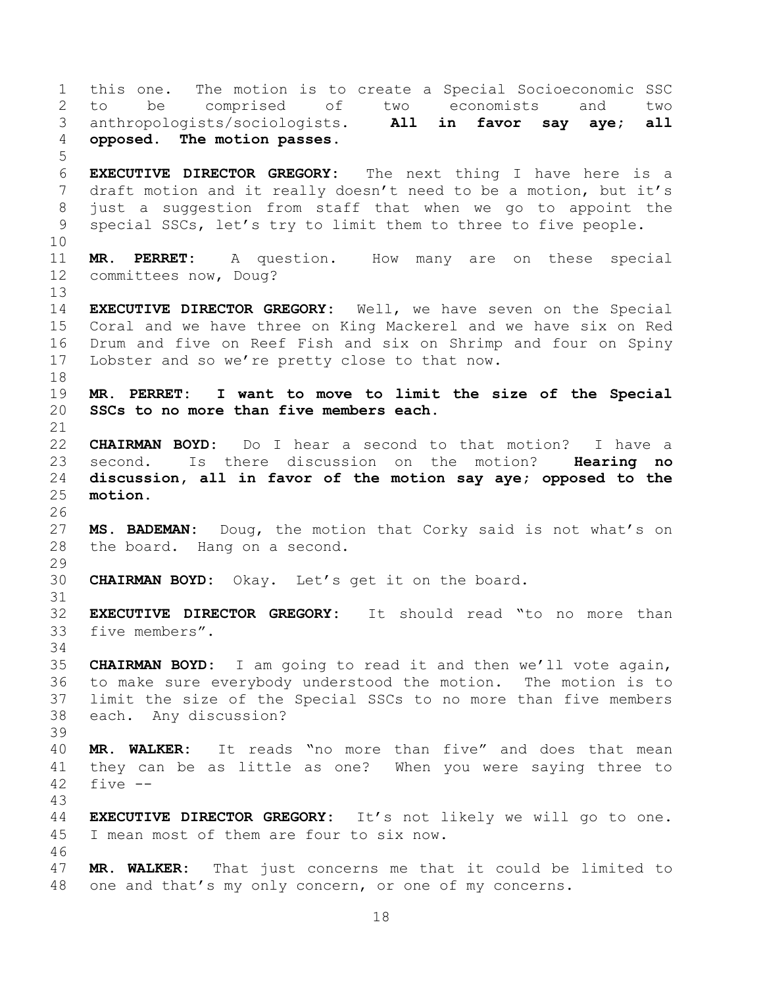this one. The motion is to create a Special Socioeconomic SSC to be comprised of two economists and two anthropologists/sociologists. **All in favor say aye; all opposed. The motion passes. EXECUTIVE DIRECTOR GREGORY:** The next thing I have here is a draft motion and it really doesn't need to be a motion, but it's just a suggestion from staff that when we go to appoint the special SSCs, let's try to limit them to three to five people. **MR. PERRET:** A question. How many are on these special committees now, Doug? **EXECUTIVE DIRECTOR GREGORY:** Well, we have seven on the Special Coral and we have three on King Mackerel and we have six on Red Drum and five on Reef Fish and six on Shrimp and four on Spiny Lobster and so we're pretty close to that now. **MR. PERRET: I want to move to limit the size of the Special SSCs to no more than five members each. CHAIRMAN BOYD:** Do I hear a second to that motion? I have a second. Is there discussion on the motion? **Hearing no discussion, all in favor of the motion say aye; opposed to the motion. MS. BADEMAN:** Doug, the motion that Corky said is not what's on the board. Hang on a second. **CHAIRMAN BOYD:** Okay. Let's get it on the board. **EXECUTIVE DIRECTOR GREGORY:** It should read "to no more than five members". **CHAIRMAN BOYD:** I am going to read it and then we'll vote again, to make sure everybody understood the motion. The motion is to limit the size of the Special SSCs to no more than five members each. Any discussion? **MR. WALKER:** It reads "no more than five" and does that mean they can be as little as one? When you were saying three to five  $-$  **EXECUTIVE DIRECTOR GREGORY:** It's not likely we will go to one. I mean most of them are four to six now. **MR. WALKER:** That just concerns me that it could be limited to one and that's my only concern, or one of my concerns.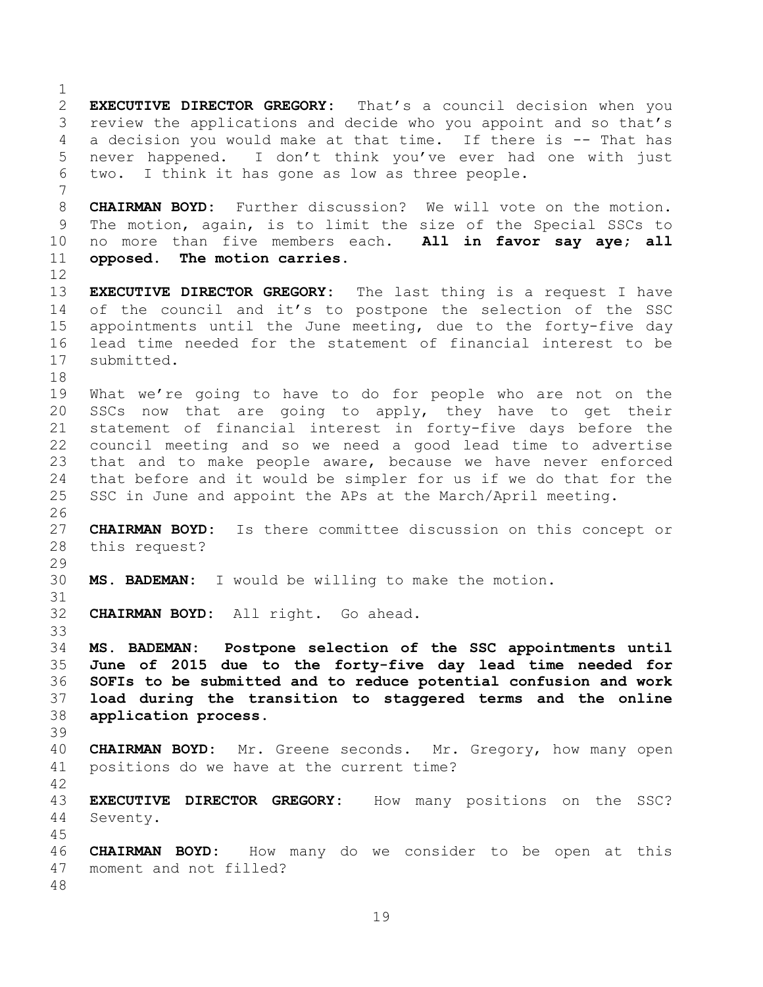**EXECUTIVE DIRECTOR GREGORY:** That's a council decision when you review the applications and decide who you appoint and so that's a decision you would make at that time. If there is -- That has never happened. I don't think you've ever had one with just two. I think it has gone as low as three people. **CHAIRMAN BOYD:** Further discussion? We will vote on the motion. The motion, again, is to limit the size of the Special SSCs to no more than five members each. **All in favor say aye; all opposed. The motion carries. EXECUTIVE DIRECTOR GREGORY:** The last thing is a request I have of the council and it's to postpone the selection of the SSC appointments until the June meeting, due to the forty-five day lead time needed for the statement of financial interest to be submitted. What we're going to have to do for people who are not on the SSCs now that are going to apply, they have to get their statement of financial interest in forty-five days before the council meeting and so we need a good lead time to advertise that and to make people aware, because we have never enforced that before and it would be simpler for us if we do that for the SSC in June and appoint the APs at the March/April meeting. **CHAIRMAN BOYD:** Is there committee discussion on this concept or this request? **MS. BADEMAN:** I would be willing to make the motion. **CHAIRMAN BOYD:** All right. Go ahead. **MS. BADEMAN: Postpone selection of the SSC appointments until June of 2015 due to the forty-five day lead time needed for SOFIs to be submitted and to reduce potential confusion and work load during the transition to staggered terms and the online application process. CHAIRMAN BOYD:** Mr. Greene seconds. Mr. Gregory, how many open positions do we have at the current time? **EXECUTIVE DIRECTOR GREGORY:** How many positions on the SSC? Seventy. **CHAIRMAN BOYD:** How many do we consider to be open at this moment and not filled?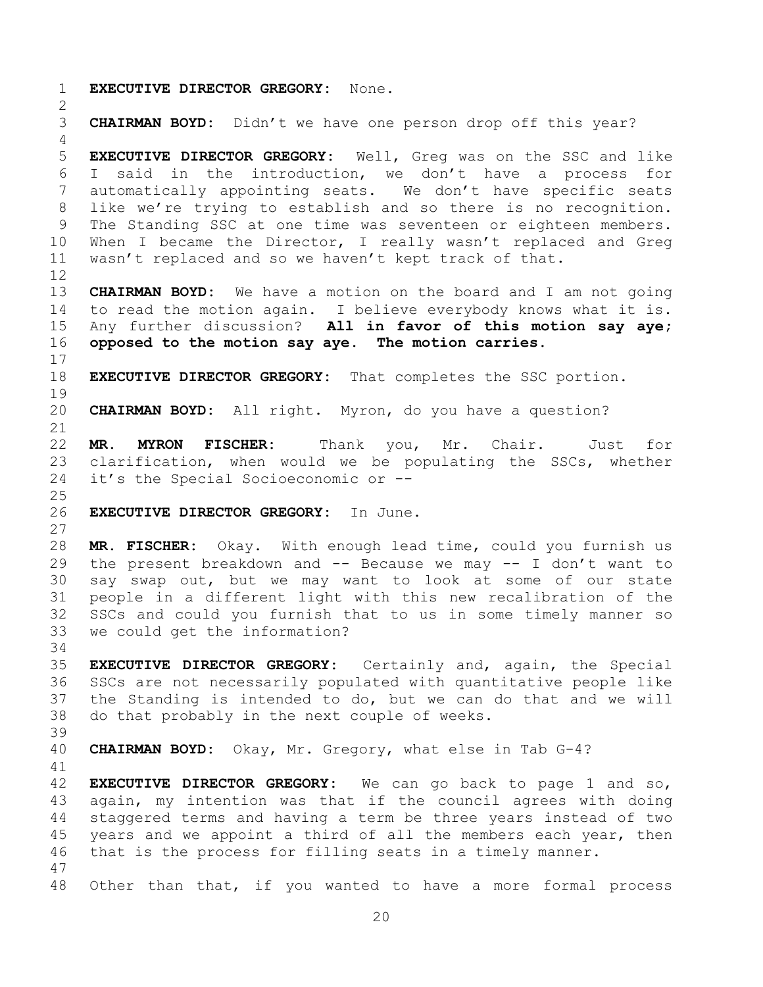**EXECUTIVE DIRECTOR GREGORY:** None. **CHAIRMAN BOYD:** Didn't we have one person drop off this year? **EXECUTIVE DIRECTOR GREGORY:** Well, Greg was on the SSC and like I said in the introduction, we don't have a process for automatically appointing seats. We don't have specific seats like we're trying to establish and so there is no recognition. The Standing SSC at one time was seventeen or eighteen members. When I became the Director, I really wasn't replaced and Greg wasn't replaced and so we haven't kept track of that. **CHAIRMAN BOYD:** We have a motion on the board and I am not going to read the motion again. I believe everybody knows what it is. Any further discussion? **All in favor of this motion say aye; opposed to the motion say aye. The motion carries. EXECUTIVE DIRECTOR GREGORY:** That completes the SSC portion. **CHAIRMAN BOYD:** All right. Myron, do you have a question? **MR. MYRON FISCHER:** Thank you, Mr. Chair. Just for clarification, when would we be populating the SSCs, whether it's the Special Socioeconomic or -- **EXECUTIVE DIRECTOR GREGORY:** In June. **MR. FISCHER:** Okay. With enough lead time, could you furnish us the present breakdown and -- Because we may -- I don't want to say swap out, but we may want to look at some of our state people in a different light with this new recalibration of the SSCs and could you furnish that to us in some timely manner so we could get the information? **EXECUTIVE DIRECTOR GREGORY:** Certainly and, again, the Special SSCs are not necessarily populated with quantitative people like the Standing is intended to do, but we can do that and we will do that probably in the next couple of weeks. **CHAIRMAN BOYD:** Okay, Mr. Gregory, what else in Tab G-4? **EXECUTIVE DIRECTOR GREGORY:** We can go back to page 1 and so, again, my intention was that if the council agrees with doing staggered terms and having a term be three years instead of two 45 years and we appoint a third of all the members each year, then that is the process for filling seats in a timely manner. Other than that, if you wanted to have a more formal process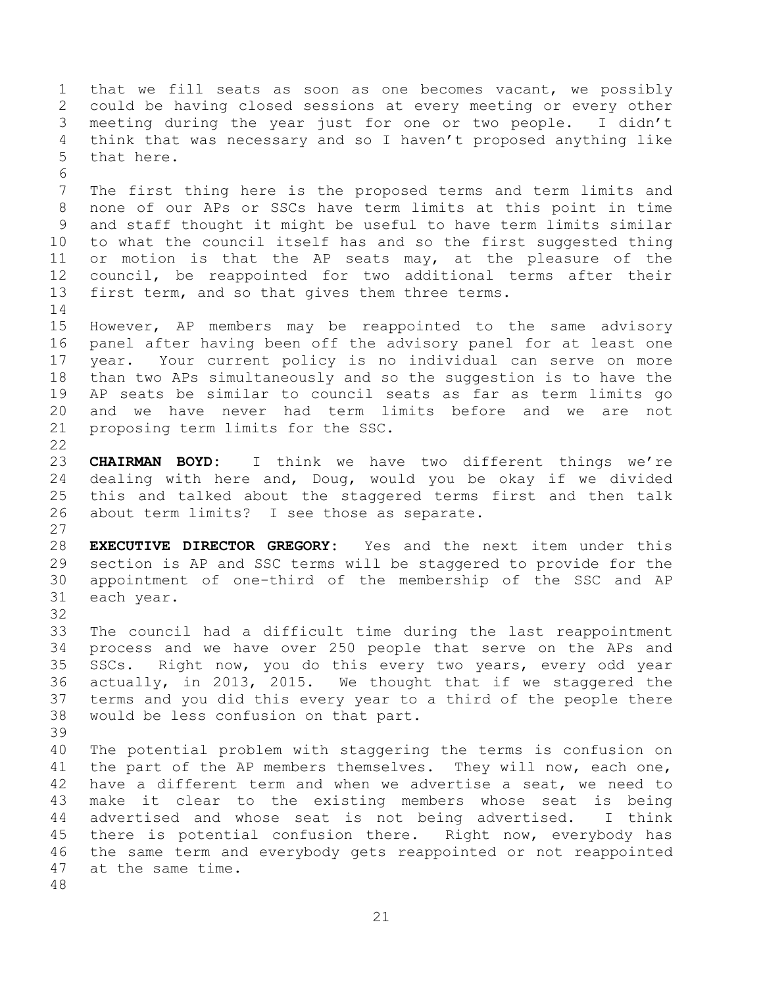that we fill seats as soon as one becomes vacant, we possibly could be having closed sessions at every meeting or every other meeting during the year just for one or two people. I didn't think that was necessary and so I haven't proposed anything like that here. The first thing here is the proposed terms and term limits and none of our APs or SSCs have term limits at this point in time and staff thought it might be useful to have term limits similar to what the council itself has and so the first suggested thing or motion is that the AP seats may, at the pleasure of the council, be reappointed for two additional terms after their first term, and so that gives them three terms. However, AP members may be reappointed to the same advisory panel after having been off the advisory panel for at least one year. Your current policy is no individual can serve on more than two APs simultaneously and so the suggestion is to have the AP seats be similar to council seats as far as term limits go and we have never had term limits before and we are not proposing term limits for the SSC. **CHAIRMAN BOYD:** I think we have two different things we're dealing with here and, Doug, would you be okay if we divided this and talked about the staggered terms first and then talk about term limits? I see those as separate. **EXECUTIVE DIRECTOR GREGORY:** Yes and the next item under this section is AP and SSC terms will be staggered to provide for the appointment of one-third of the membership of the SSC and AP each year. The council had a difficult time during the last reappointment process and we have over 250 people that serve on the APs and SSCs. Right now, you do this every two years, every odd year actually, in 2013, 2015. We thought that if we staggered the terms and you did this every year to a third of the people there would be less confusion on that part. The potential problem with staggering the terms is confusion on 41 the part of the AP members themselves. They will now, each one, have a different term and when we advertise a seat, we need to make it clear to the existing members whose seat is being advertised and whose seat is not being advertised. I think 45 there is potential confusion there. Right now, everybody has the same term and everybody gets reappointed or not reappointed at the same time.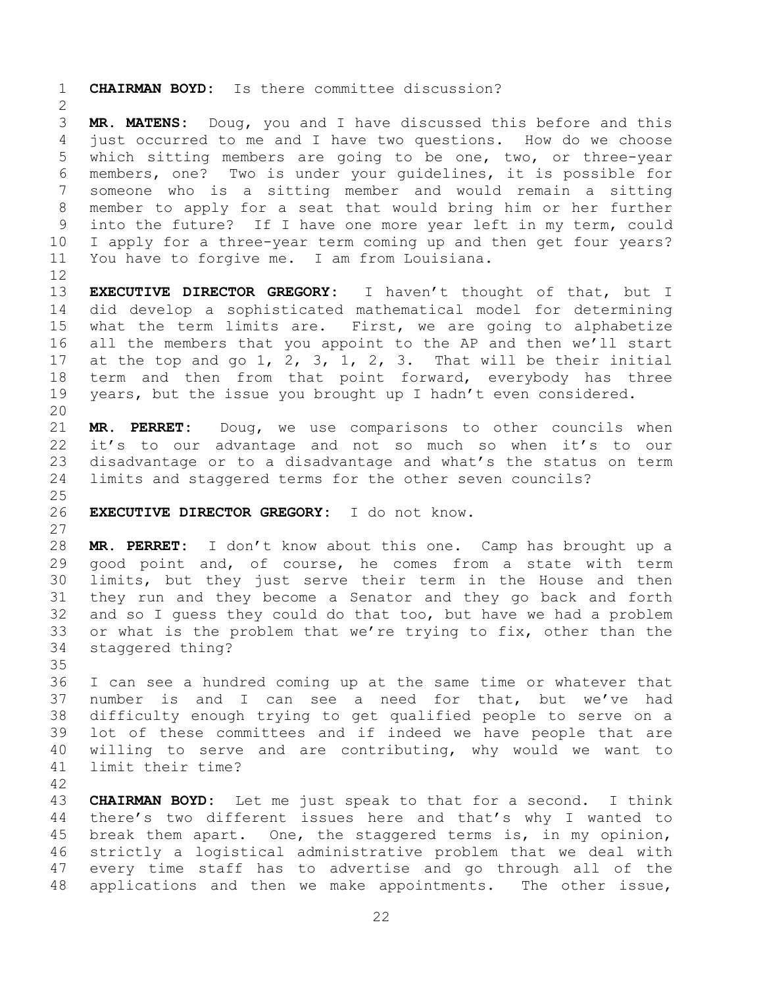**CHAIRMAN BOYD:** Is there committee discussion?

 **MR. MATENS:** Doug, you and I have discussed this before and this just occurred to me and I have two questions. How do we choose which sitting members are going to be one, two, or three-year members, one? Two is under your guidelines, it is possible for someone who is a sitting member and would remain a sitting member to apply for a seat that would bring him or her further into the future? If I have one more year left in my term, could I apply for a three-year term coming up and then get four years? You have to forgive me. I am from Louisiana.

 **EXECUTIVE DIRECTOR GREGORY:** I haven't thought of that, but I did develop a sophisticated mathematical model for determining what the term limits are. First, we are going to alphabetize all the members that you appoint to the AP and then we'll start at the top and go 1, 2, 3, 1, 2, 3. That will be their initial 18 term and then from that point forward, everybody has three years, but the issue you brought up I hadn't even considered.

 **MR. PERRET:** Doug, we use comparisons to other councils when it's to our advantage and not so much so when it's to our disadvantage or to a disadvantage and what's the status on term limits and staggered terms for the other seven councils?

## **EXECUTIVE DIRECTOR GREGORY:** I do not know.

 **MR. PERRET:** I don't know about this one. Camp has brought up a good point and, of course, he comes from a state with term limits, but they just serve their term in the House and then they run and they become a Senator and they go back and forth and so I guess they could do that too, but have we had a problem or what is the problem that we're trying to fix, other than the staggered thing?

 I can see a hundred coming up at the same time or whatever that number is and I can see a need for that, but we've had difficulty enough trying to get qualified people to serve on a lot of these committees and if indeed we have people that are willing to serve and are contributing, why would we want to limit their time?

 **CHAIRMAN BOYD:** Let me just speak to that for a second. I think there's two different issues here and that's why I wanted to break them apart. One, the staggered terms is, in my opinion, strictly a logistical administrative problem that we deal with every time staff has to advertise and go through all of the applications and then we make appointments. The other issue,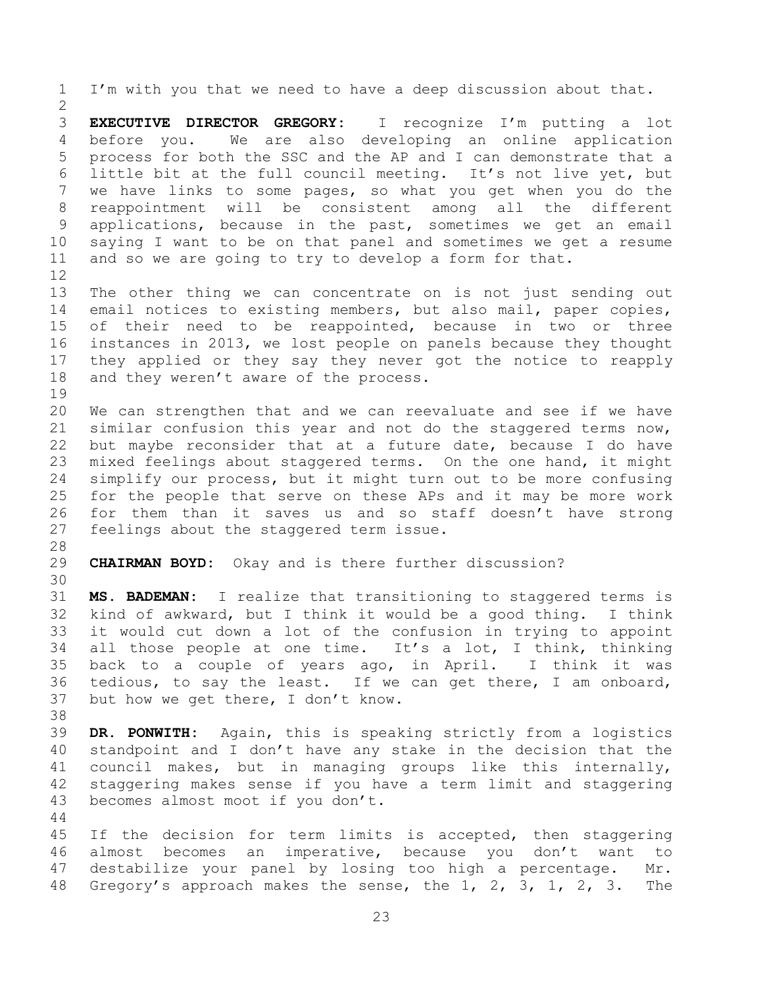I'm with you that we need to have a deep discussion about that. **EXECUTIVE DIRECTOR GREGORY:** I recognize I'm putting a lot before you. We are also developing an online application process for both the SSC and the AP and I can demonstrate that a little bit at the full council meeting. It's not live yet, but we have links to some pages, so what you get when you do the reappointment will be consistent among all the different applications, because in the past, sometimes we get an email saying I want to be on that panel and sometimes we get a resume and so we are going to try to develop a form for that. The other thing we can concentrate on is not just sending out email notices to existing members, but also mail, paper copies, of their need to be reappointed, because in two or three instances in 2013, we lost people on panels because they thought they applied or they say they never got the notice to reapply 18 and they weren't aware of the process. We can strengthen that and we can reevaluate and see if we have similar confusion this year and not do the staggered terms now, but maybe reconsider that at a future date, because I do have mixed feelings about staggered terms. On the one hand, it might simplify our process, but it might turn out to be more confusing for the people that serve on these APs and it may be more work for them than it saves us and so staff doesn't have strong 27 feelings about the staggered term issue. **CHAIRMAN BOYD:** Okay and is there further discussion? **MS. BADEMAN:** I realize that transitioning to staggered terms is kind of awkward, but I think it would be a good thing. I think it would cut down a lot of the confusion in trying to appoint all those people at one time. It's a lot, I think, thinking back to a couple of years ago, in April. I think it was tedious, to say the least. If we can get there, I am onboard, but how we get there, I don't know. **DR. PONWITH:** Again, this is speaking strictly from a logistics standpoint and I don't have any stake in the decision that the council makes, but in managing groups like this internally, staggering makes sense if you have a term limit and staggering becomes almost moot if you don't. If the decision for term limits is accepted, then staggering almost becomes an imperative, because you don't want to destabilize your panel by losing too high a percentage. Mr.

Gregory's approach makes the sense, the 1, 2, 3, 1, 2, 3. The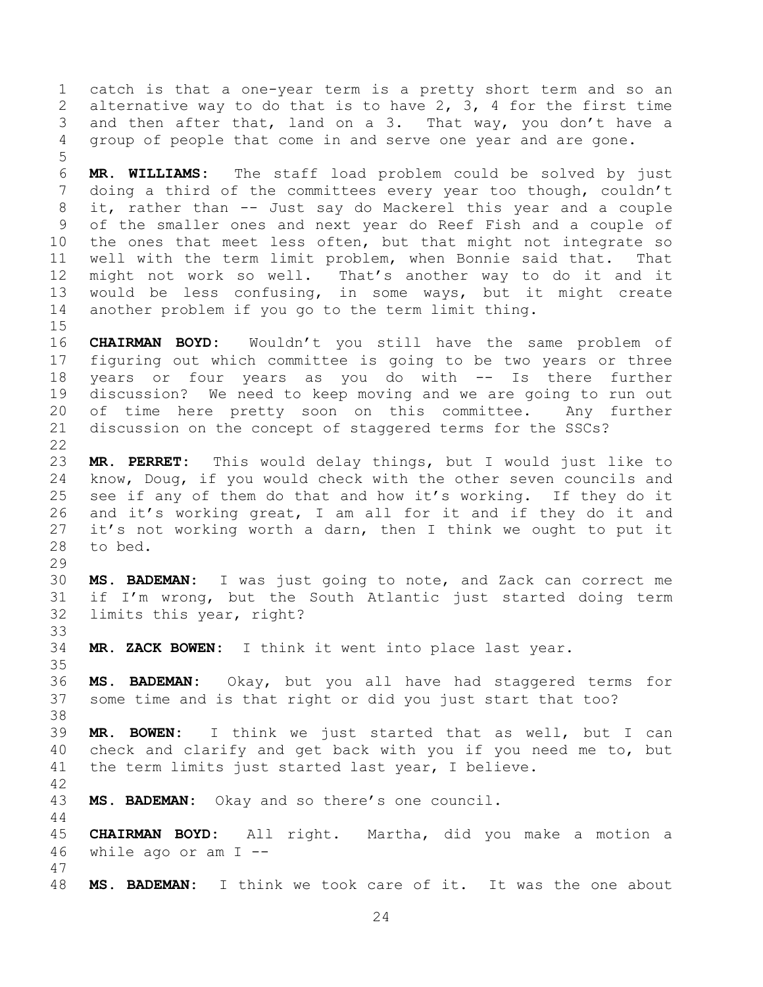catch is that a one-year term is a pretty short term and so an alternative way to do that is to have 2, 3, 4 for the first time and then after that, land on a 3. That way, you don't have a group of people that come in and serve one year and are gone.

 **MR. WILLIAMS:** The staff load problem could be solved by just doing a third of the committees every year too though, couldn't it, rather than -- Just say do Mackerel this year and a couple of the smaller ones and next year do Reef Fish and a couple of the ones that meet less often, but that might not integrate so well with the term limit problem, when Bonnie said that. That might not work so well. That's another way to do it and it would be less confusing, in some ways, but it might create another problem if you go to the term limit thing.

 **CHAIRMAN BOYD:** Wouldn't you still have the same problem of figuring out which committee is going to be two years or three years or four years as you do with -- Is there further discussion? We need to keep moving and we are going to run out of time here pretty soon on this committee. Any further discussion on the concept of staggered terms for the SSCs?

 **MR. PERRET:** This would delay things, but I would just like to know, Doug, if you would check with the other seven councils and see if any of them do that and how it's working. If they do it and it's working great, I am all for it and if they do it and it's not working worth a darn, then I think we ought to put it to bed.

 **MS. BADEMAN:** I was just going to note, and Zack can correct me if I'm wrong, but the South Atlantic just started doing term limits this year, right?

**MR. ZACK BOWEN:** I think it went into place last year.

 **MS. BADEMAN:** Okay, but you all have had staggered terms for some time and is that right or did you just start that too?

 **MR. BOWEN:** I think we just started that as well, but I can check and clarify and get back with you if you need me to, but the term limits just started last year, I believe.

**MS. BADEMAN:** Okay and so there's one council.

 **CHAIRMAN BOYD:** All right. Martha, did you make a motion a while ago or am I --

**MS. BADEMAN:** I think we took care of it. It was the one about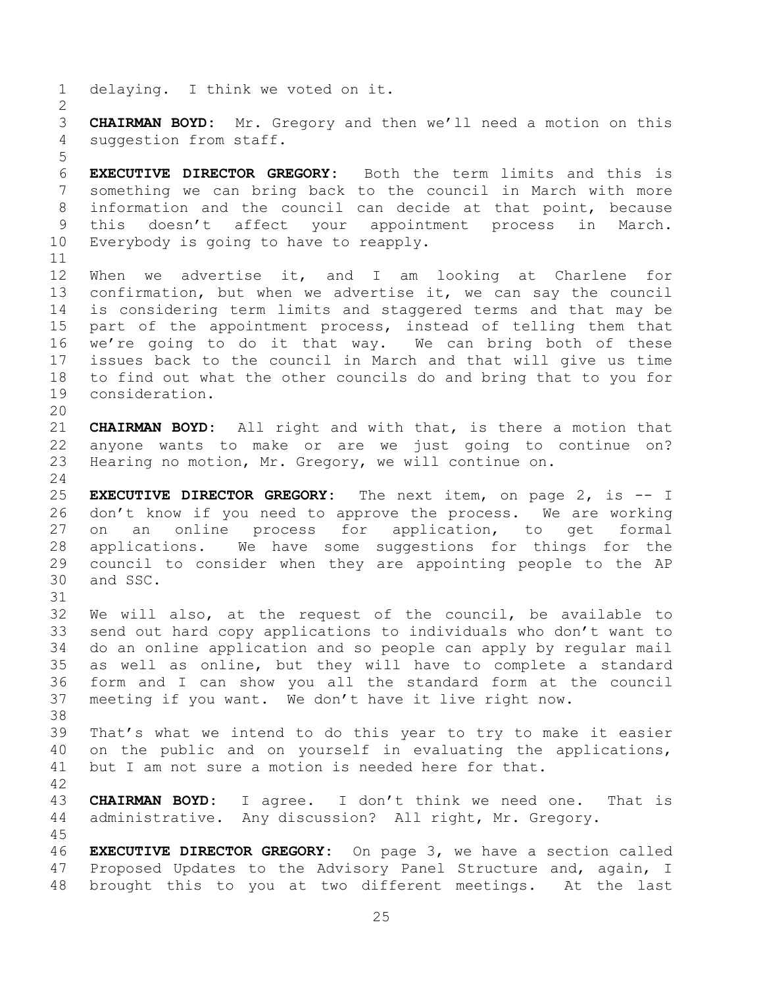delaying. I think we voted on it. **CHAIRMAN BOYD:** Mr. Gregory and then we'll need a motion on this suggestion from staff. **EXECUTIVE DIRECTOR GREGORY:** Both the term limits and this is something we can bring back to the council in March with more information and the council can decide at that point, because this doesn't affect your appointment process in March. Everybody is going to have to reapply. When we advertise it, and I am looking at Charlene for confirmation, but when we advertise it, we can say the council is considering term limits and staggered terms and that may be part of the appointment process, instead of telling them that we're going to do it that way. We can bring both of these issues back to the council in March and that will give us time to find out what the other councils do and bring that to you for consideration. **CHAIRMAN BOYD:** All right and with that, is there a motion that anyone wants to make or are we just going to continue on? Hearing no motion, Mr. Gregory, we will continue on. **EXECUTIVE DIRECTOR GREGORY:** The next item, on page 2, is -- I don't know if you need to approve the process. We are working on an online process for application, to get formal applications. We have some suggestions for things for the council to consider when they are appointing people to the AP and SSC. We will also, at the request of the council, be available to send out hard copy applications to individuals who don't want to do an online application and so people can apply by regular mail as well as online, but they will have to complete a standard form and I can show you all the standard form at the council meeting if you want. We don't have it live right now. That's what we intend to do this year to try to make it easier on the public and on yourself in evaluating the applications, but I am not sure a motion is needed here for that. **CHAIRMAN BOYD:** I agree. I don't think we need one. That is administrative. Any discussion? All right, Mr. Gregory. **EXECUTIVE DIRECTOR GREGORY:** On page 3, we have a section called Proposed Updates to the Advisory Panel Structure and, again, I brought this to you at two different meetings. At the last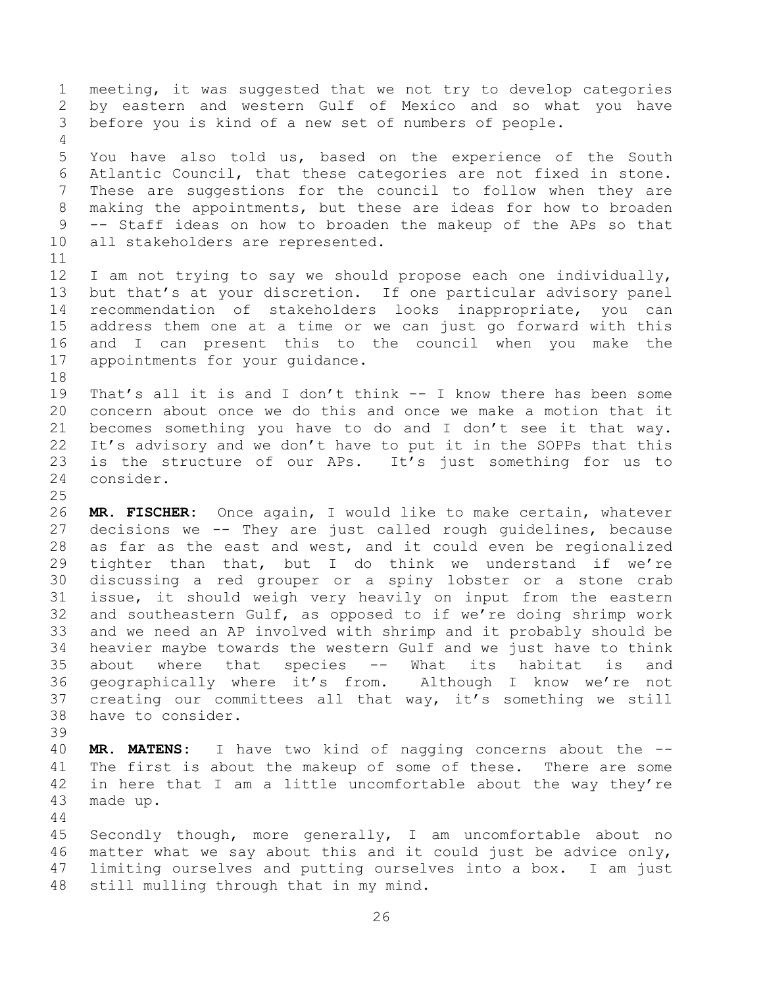meeting, it was suggested that we not try to develop categories by eastern and western Gulf of Mexico and so what you have before you is kind of a new set of numbers of people. You have also told us, based on the experience of the South Atlantic Council, that these categories are not fixed in stone. These are suggestions for the council to follow when they are making the appointments, but these are ideas for how to broaden -- Staff ideas on how to broaden the makeup of the APs so that all stakeholders are represented. I am not trying to say we should propose each one individually, but that's at your discretion. If one particular advisory panel recommendation of stakeholders looks inappropriate, you can address them one at a time or we can just go forward with this and I can present this to the council when you make the appointments for your guidance. That's all it is and I don't think -- I know there has been some concern about once we do this and once we make a motion that it becomes something you have to do and I don't see it that way. It's advisory and we don't have to put it in the SOPPs that this is the structure of our APs. It's just something for us to consider. **MR. FISCHER:** Once again, I would like to make certain, whatever decisions we -- They are just called rough guidelines, because as far as the east and west, and it could even be regionalized tighter than that, but I do think we understand if we're discussing a red grouper or a spiny lobster or a stone crab issue, it should weigh very heavily on input from the eastern and southeastern Gulf, as opposed to if we're doing shrimp work and we need an AP involved with shrimp and it probably should be heavier maybe towards the western Gulf and we just have to think about where that species -- What its habitat is and

- geographically where it's from. Although I know we're not creating our committees all that way, it's something we still have to consider.
- 
- **MR. MATENS:** I have two kind of nagging concerns about the -- The first is about the makeup of some of these. There are some in here that I am a little uncomfortable about the way they're made up.

 Secondly though, more generally, I am uncomfortable about no matter what we say about this and it could just be advice only, limiting ourselves and putting ourselves into a box. I am just still mulling through that in my mind.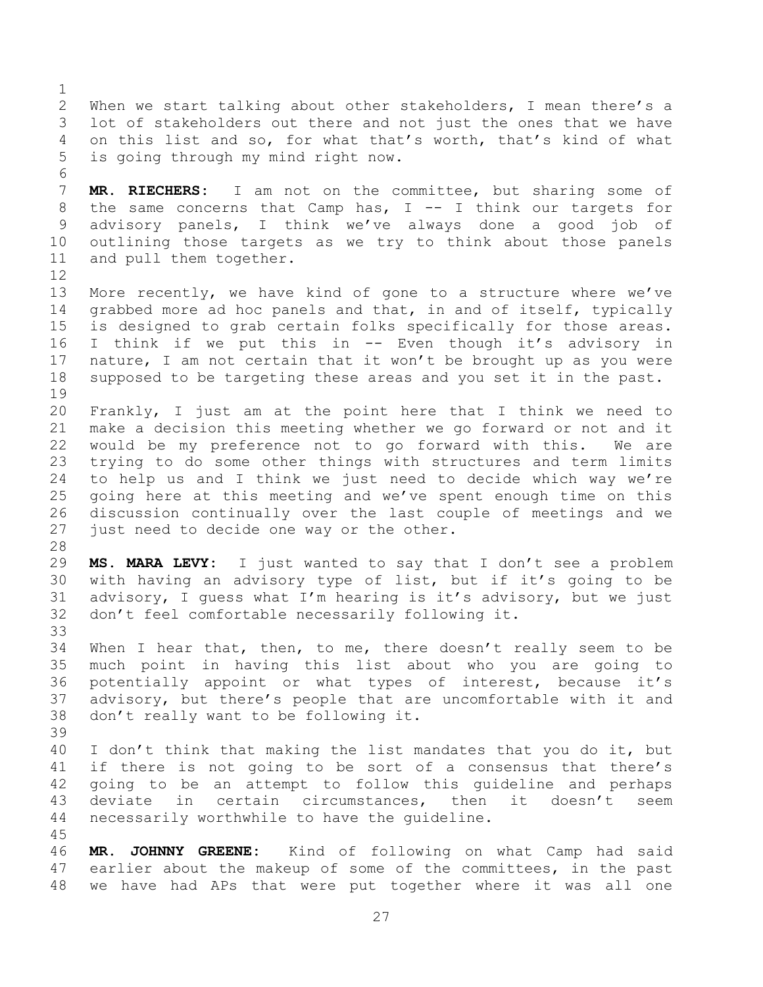When we start talking about other stakeholders, I mean there's a lot of stakeholders out there and not just the ones that we have on this list and so, for what that's worth, that's kind of what is going through my mind right now. **MR. RIECHERS:** I am not on the committee, but sharing some of 8 the same concerns that Camp has, I -- I think our targets for advisory panels, I think we've always done a good job of outlining those targets as we try to think about those panels and pull them together. More recently, we have kind of gone to a structure where we've grabbed more ad hoc panels and that, in and of itself, typically is designed to grab certain folks specifically for those areas. I think if we put this in -- Even though it's advisory in nature, I am not certain that it won't be brought up as you were supposed to be targeting these areas and you set it in the past. Frankly, I just am at the point here that I think we need to make a decision this meeting whether we go forward or not and it would be my preference not to go forward with this. We are trying to do some other things with structures and term limits to help us and I think we just need to decide which way we're going here at this meeting and we've spent enough time on this discussion continually over the last couple of meetings and we 27 just need to decide one way or the other. **MS. MARA LEVY:** I just wanted to say that I don't see a problem with having an advisory type of list, but if it's going to be advisory, I guess what I'm hearing is it's advisory, but we just don't feel comfortable necessarily following it. When I hear that, then, to me, there doesn't really seem to be much point in having this list about who you are going to potentially appoint or what types of interest, because it's advisory, but there's people that are uncomfortable with it and don't really want to be following it. 40 I don't think that making the list mandates that you do it, but 41 if there is not going to be sort of a consensus that there's going to be an attempt to follow this guideline and perhaps deviate in certain circumstances, then it doesn't seem necessarily worthwhile to have the guideline. **MR. JOHNNY GREENE:** Kind of following on what Camp had said earlier about the makeup of some of the committees, in the past

we have had APs that were put together where it was all one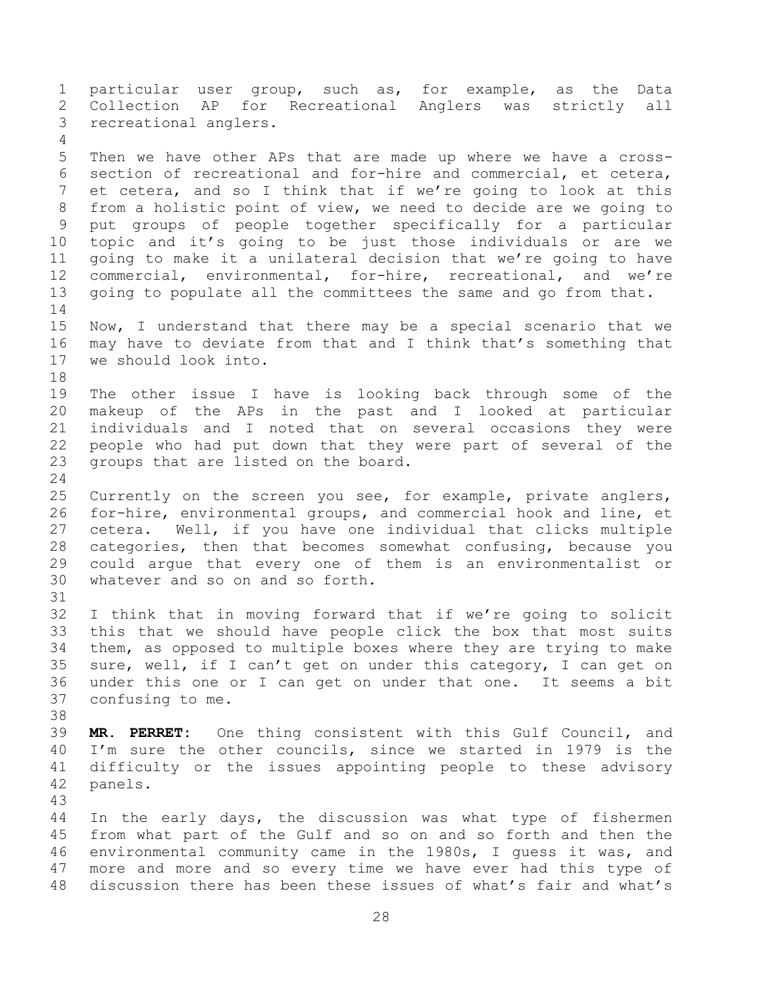particular user group, such as, for example, as the Data Collection AP for Recreational Anglers was strictly all recreational anglers. Then we have other APs that are made up where we have a cross- section of recreational and for-hire and commercial, et cetera, et cetera, and so I think that if we're going to look at this from a holistic point of view, we need to decide are we going to put groups of people together specifically for a particular topic and it's going to be just those individuals or are we going to make it a unilateral decision that we're going to have commercial, environmental, for-hire, recreational, and we're going to populate all the committees the same and go from that. Now, I understand that there may be a special scenario that we may have to deviate from that and I think that's something that we should look into. The other issue I have is looking back through some of the makeup of the APs in the past and I looked at particular individuals and I noted that on several occasions they were people who had put down that they were part of several of the groups that are listed on the board. Currently on the screen you see, for example, private anglers, for-hire, environmental groups, and commercial hook and line, et cetera. Well, if you have one individual that clicks multiple categories, then that becomes somewhat confusing, because you could argue that every one of them is an environmentalist or whatever and so on and so forth. I think that in moving forward that if we're going to solicit this that we should have people click the box that most suits them, as opposed to multiple boxes where they are trying to make sure, well, if I can't get on under this category, I can get on under this one or I can get on under that one. It seems a bit confusing to me. **MR. PERRET:** One thing consistent with this Gulf Council, and I'm sure the other councils, since we started in 1979 is the difficulty or the issues appointing people to these advisory panels. In the early days, the discussion was what type of fishermen from what part of the Gulf and so on and so forth and then the environmental community came in the 1980s, I guess it was, and more and more and so every time we have ever had this type of discussion there has been these issues of what's fair and what's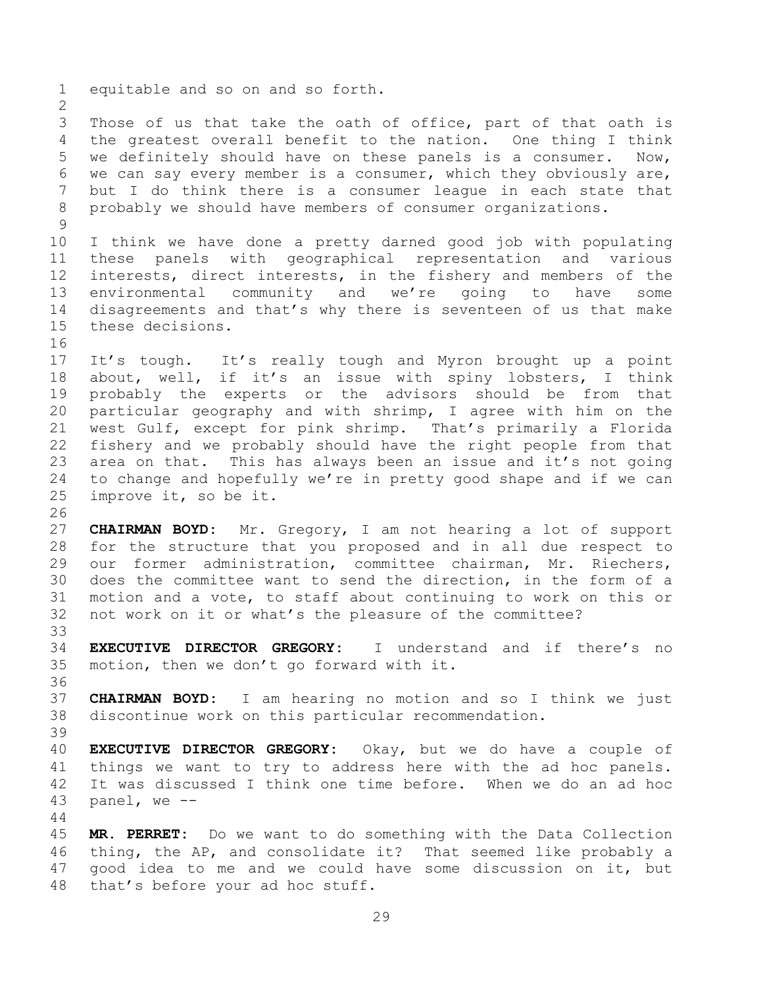equitable and so on and so forth. Those of us that take the oath of office, part of that oath is the greatest overall benefit to the nation. One thing I think we definitely should have on these panels is a consumer. Now, we can say every member is a consumer, which they obviously are, but I do think there is a consumer league in each state that probably we should have members of consumer organizations. I think we have done a pretty darned good job with populating these panels with geographical representation and various interests, direct interests, in the fishery and members of the environmental community and we're going to have some disagreements and that's why there is seventeen of us that make these decisions. It's tough. It's really tough and Myron brought up a point about, well, if it's an issue with spiny lobsters, I think probably the experts or the advisors should be from that particular geography and with shrimp, I agree with him on the west Gulf, except for pink shrimp. That's primarily a Florida fishery and we probably should have the right people from that area on that. This has always been an issue and it's not going to change and hopefully we're in pretty good shape and if we can improve it, so be it. **CHAIRMAN BOYD:** Mr. Gregory, I am not hearing a lot of support for the structure that you proposed and in all due respect to our former administration, committee chairman, Mr. Riechers, does the committee want to send the direction, in the form of a motion and a vote, to staff about continuing to work on this or not work on it or what's the pleasure of the committee? **EXECUTIVE DIRECTOR GREGORY:** I understand and if there's no motion, then we don't go forward with it. **CHAIRMAN BOYD:** I am hearing no motion and so I think we just discontinue work on this particular recommendation. **EXECUTIVE DIRECTOR GREGORY:** Okay, but we do have a couple of things we want to try to address here with the ad hoc panels. It was discussed I think one time before. When we do an ad hoc panel, we -- **MR. PERRET:** Do we want to do something with the Data Collection thing, the AP, and consolidate it? That seemed like probably a good idea to me and we could have some discussion on it, but

that's before your ad hoc stuff.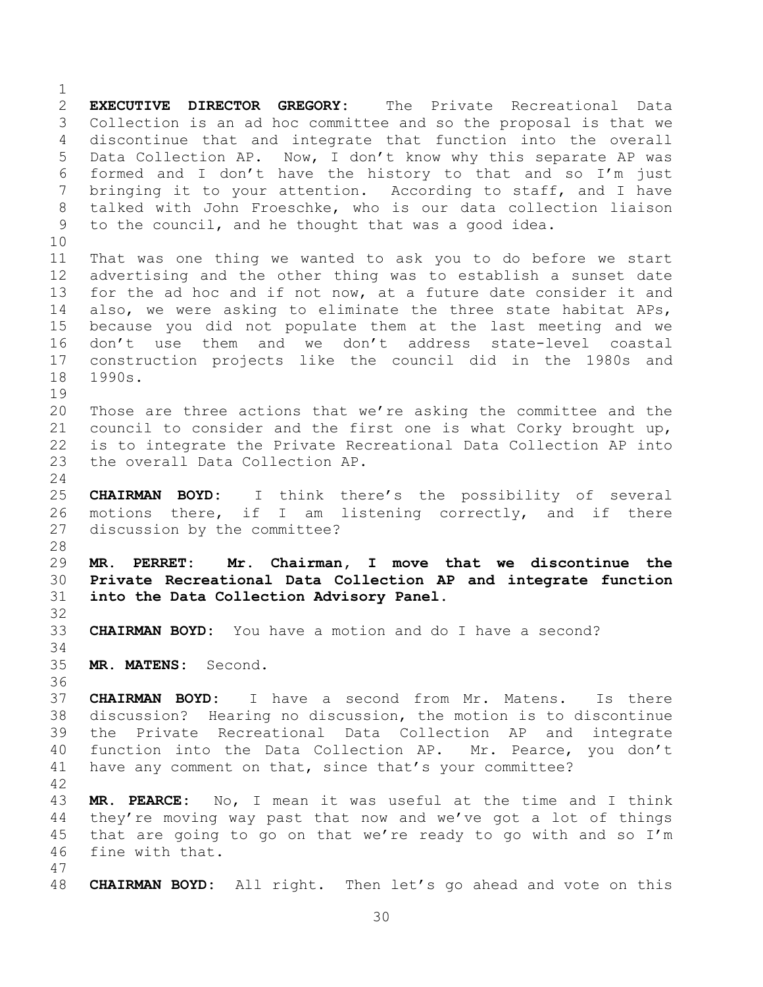**EXECUTIVE DIRECTOR GREGORY:** The Private Recreational Data Collection is an ad hoc committee and so the proposal is that we discontinue that and integrate that function into the overall Data Collection AP. Now, I don't know why this separate AP was formed and I don't have the history to that and so I'm just bringing it to your attention. According to staff, and I have talked with John Froeschke, who is our data collection liaison to the council, and he thought that was a good idea. That was one thing we wanted to ask you to do before we start advertising and the other thing was to establish a sunset date for the ad hoc and if not now, at a future date consider it and also, we were asking to eliminate the three state habitat APs, because you did not populate them at the last meeting and we don't use them and we don't address state-level coastal construction projects like the council did in the 1980s and 1990s. Those are three actions that we're asking the committee and the council to consider and the first one is what Corky brought up, is to integrate the Private Recreational Data Collection AP into the overall Data Collection AP. **CHAIRMAN BOYD:** I think there's the possibility of several motions there, if I am listening correctly, and if there discussion by the committee? **MR. PERRET: Mr. Chairman, I move that we discontinue the Private Recreational Data Collection AP and integrate function into the Data Collection Advisory Panel. CHAIRMAN BOYD:** You have a motion and do I have a second? **MR. MATENS:** Second. **CHAIRMAN BOYD:** I have a second from Mr. Matens. Is there discussion? Hearing no discussion, the motion is to discontinue the Private Recreational Data Collection AP and integrate function into the Data Collection AP. Mr. Pearce, you don't have any comment on that, since that's your committee? **MR. PEARCE:** No, I mean it was useful at the time and I think they're moving way past that now and we've got a lot of things that are going to go on that we're ready to go with and so I'm fine with that. **CHAIRMAN BOYD:** All right. Then let's go ahead and vote on this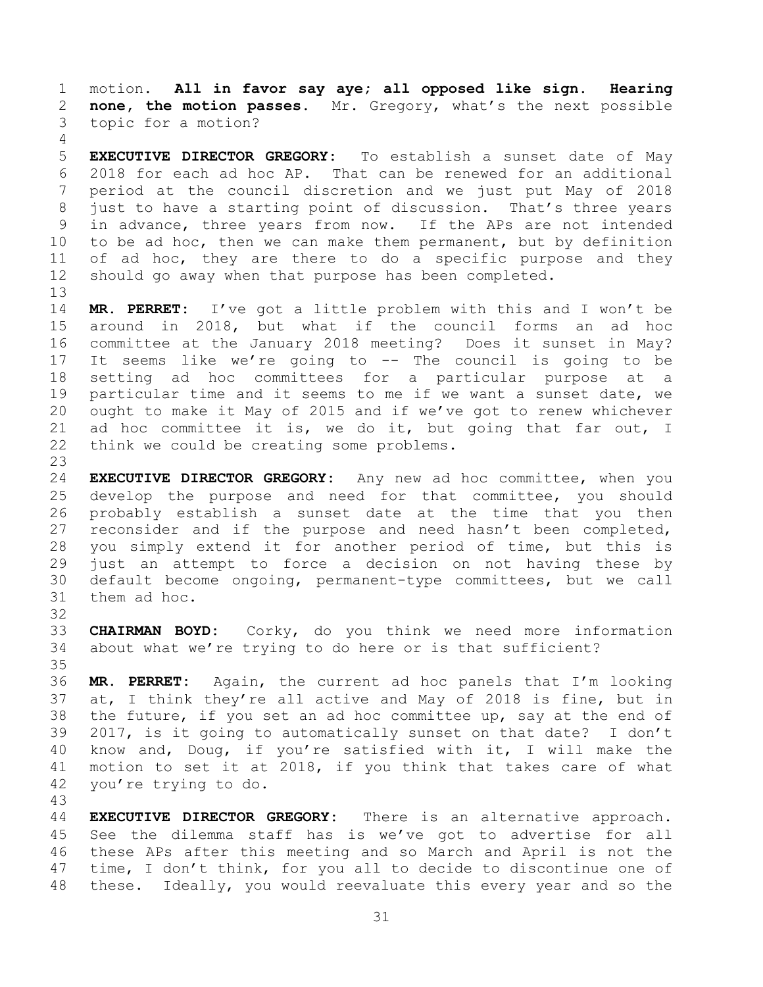motion. **All in favor say aye; all opposed like sign. Hearing none, the motion passes.** Mr. Gregory, what's the next possible topic for a motion?

 **EXECUTIVE DIRECTOR GREGORY:** To establish a sunset date of May 2018 for each ad hoc AP. That can be renewed for an additional period at the council discretion and we just put May of 2018 just to have a starting point of discussion. That's three years in advance, three years from now. If the APs are not intended to be ad hoc, then we can make them permanent, but by definition 11 of ad hoc, they are there to do a specific purpose and they should go away when that purpose has been completed.

 **MR. PERRET:** I've got a little problem with this and I won't be around in 2018, but what if the council forms an ad hoc committee at the January 2018 meeting? Does it sunset in May? It seems like we're going to -- The council is going to be setting ad hoc committees for a particular purpose at a particular time and it seems to me if we want a sunset date, we ought to make it May of 2015 and if we've got to renew whichever ad hoc committee it is, we do it, but going that far out, I think we could be creating some problems.

 **EXECUTIVE DIRECTOR GREGORY:** Any new ad hoc committee, when you develop the purpose and need for that committee, you should probably establish a sunset date at the time that you then reconsider and if the purpose and need hasn't been completed, you simply extend it for another period of time, but this is just an attempt to force a decision on not having these by default become ongoing, permanent-type committees, but we call them ad hoc.

- **CHAIRMAN BOYD:** Corky, do you think we need more information about what we're trying to do here or is that sufficient?
- **MR. PERRET:** Again, the current ad hoc panels that I'm looking at, I think they're all active and May of 2018 is fine, but in the future, if you set an ad hoc committee up, say at the end of 2017, is it going to automatically sunset on that date? I don't know and, Doug, if you're satisfied with it, I will make the motion to set it at 2018, if you think that takes care of what you're trying to do.

 **EXECUTIVE DIRECTOR GREGORY:** There is an alternative approach. See the dilemma staff has is we've got to advertise for all these APs after this meeting and so March and April is not the time, I don't think, for you all to decide to discontinue one of these. Ideally, you would reevaluate this every year and so the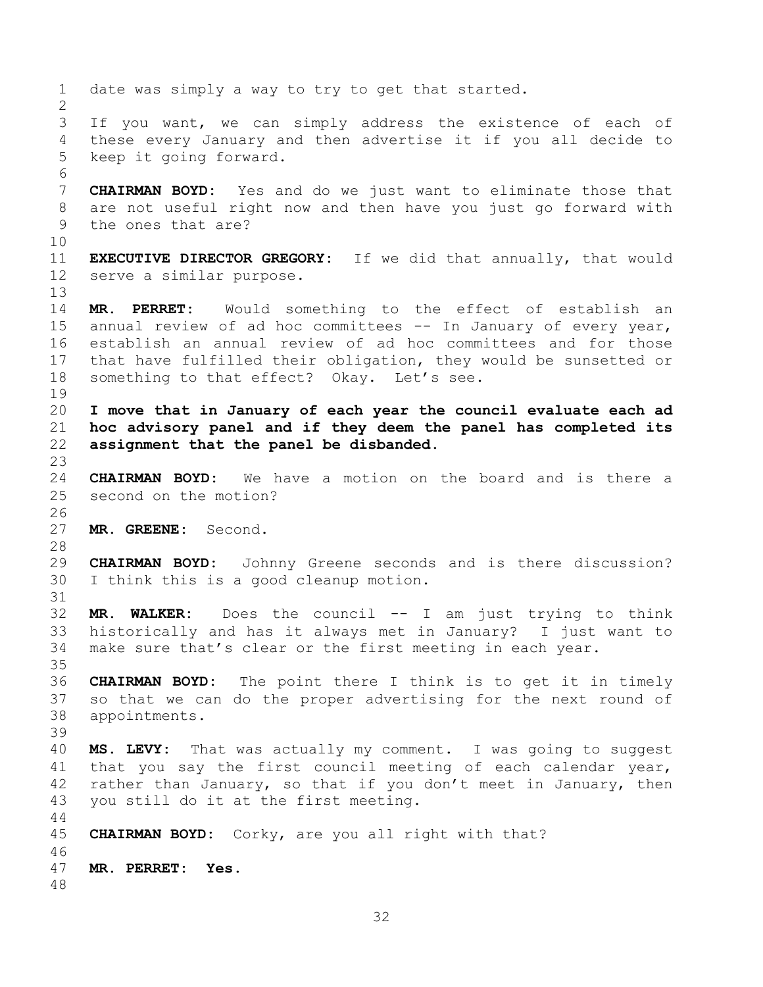date was simply a way to try to get that started. If you want, we can simply address the existence of each of these every January and then advertise it if you all decide to keep it going forward. **CHAIRMAN BOYD:** Yes and do we just want to eliminate those that are not useful right now and then have you just go forward with the ones that are? **EXECUTIVE DIRECTOR GREGORY:** If we did that annually, that would serve a similar purpose. **MR. PERRET:** Would something to the effect of establish an annual review of ad hoc committees -- In January of every year, establish an annual review of ad hoc committees and for those that have fulfilled their obligation, they would be sunsetted or something to that effect? Okay. Let's see. **I move that in January of each year the council evaluate each ad hoc advisory panel and if they deem the panel has completed its assignment that the panel be disbanded. CHAIRMAN BOYD:** We have a motion on the board and is there a second on the motion? **MR. GREENE:** Second. **CHAIRMAN BOYD:** Johnny Greene seconds and is there discussion? I think this is a good cleanup motion. **MR. WALKER:** Does the council -- I am just trying to think historically and has it always met in January? I just want to make sure that's clear or the first meeting in each year. **CHAIRMAN BOYD:** The point there I think is to get it in timely so that we can do the proper advertising for the next round of appointments. **MS. LEVY:** That was actually my comment. I was going to suggest that you say the first council meeting of each calendar year, rather than January, so that if you don't meet in January, then you still do it at the first meeting. **CHAIRMAN BOYD:** Corky, are you all right with that? **MR. PERRET: Yes.**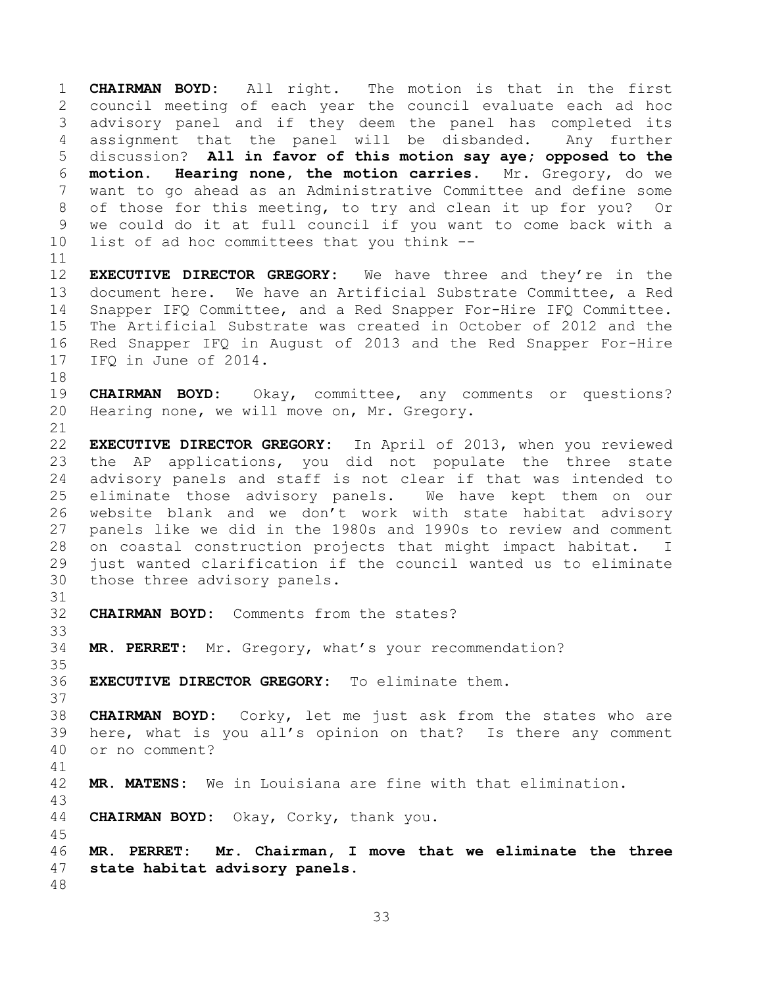**CHAIRMAN BOYD:** All right. The motion is that in the first council meeting of each year the council evaluate each ad hoc advisory panel and if they deem the panel has completed its assignment that the panel will be disbanded. Any further discussion? **All in favor of this motion say aye; opposed to the motion. Hearing none, the motion carries.** Mr. Gregory, do we want to go ahead as an Administrative Committee and define some of those for this meeting, to try and clean it up for you? Or we could do it at full council if you want to come back with a list of ad hoc committees that you think --

 **EXECUTIVE DIRECTOR GREGORY:** We have three and they're in the document here. We have an Artificial Substrate Committee, a Red Snapper IFQ Committee, and a Red Snapper For-Hire IFQ Committee. The Artificial Substrate was created in October of 2012 and the Red Snapper IFQ in August of 2013 and the Red Snapper For-Hire 17 IFO in June of 2014.

 **CHAIRMAN BOYD:** Okay, committee, any comments or questions? Hearing none, we will move on, Mr. Gregory.

 **EXECUTIVE DIRECTOR GREGORY:** In April of 2013, when you reviewed the AP applications, you did not populate the three state advisory panels and staff is not clear if that was intended to eliminate those advisory panels. We have kept them on our website blank and we don't work with state habitat advisory panels like we did in the 1980s and 1990s to review and comment on coastal construction projects that might impact habitat. I just wanted clarification if the council wanted us to eliminate those three advisory panels.

- **CHAIRMAN BOYD:** Comments from the states?
- **MR. PERRET:** Mr. Gregory, what's your recommendation?
- **EXECUTIVE DIRECTOR GREGORY:** To eliminate them.

 **CHAIRMAN BOYD:** Corky, let me just ask from the states who are here, what is you all's opinion on that? Is there any comment or no comment? 

- **MR. MATENS:** We in Louisiana are fine with that elimination.
- **CHAIRMAN BOYD:** Okay, Corky, thank you.

 **MR. PERRET: Mr. Chairman, I move that we eliminate the three state habitat advisory panels.**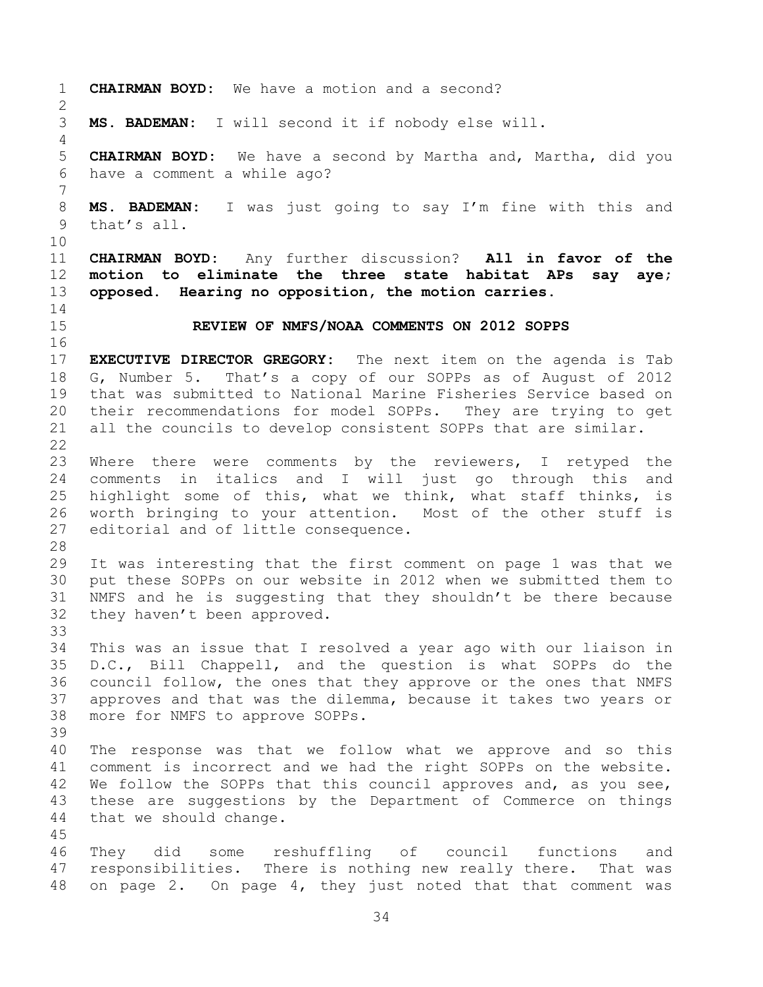**CHAIRMAN BOYD:** We have a motion and a second? **MS. BADEMAN:** I will second it if nobody else will. **CHAIRMAN BOYD:** We have a second by Martha and, Martha, did you have a comment a while ago? **MS. BADEMAN:** I was just going to say I'm fine with this and that's all. **CHAIRMAN BOYD:** Any further discussion? **All in favor of the motion to eliminate the three state habitat APs say aye; opposed. Hearing no opposition, the motion carries. REVIEW OF NMFS/NOAA COMMENTS ON 2012 SOPPS EXECUTIVE DIRECTOR GREGORY:** The next item on the agenda is Tab G, Number 5. That's a copy of our SOPPs as of August of 2012 that was submitted to National Marine Fisheries Service based on their recommendations for model SOPPs. They are trying to get all the councils to develop consistent SOPPs that are similar. 23 Where there were comments by the reviewers, I retyped the comments in italics and I will just go through this and highlight some of this, what we think, what staff thinks, is worth bringing to your attention. Most of the other stuff is editorial and of little consequence. It was interesting that the first comment on page 1 was that we put these SOPPs on our website in 2012 when we submitted them to NMFS and he is suggesting that they shouldn't be there because they haven't been approved. This was an issue that I resolved a year ago with our liaison in D.C., Bill Chappell, and the question is what SOPPs do the council follow, the ones that they approve or the ones that NMFS approves and that was the dilemma, because it takes two years or more for NMFS to approve SOPPs. The response was that we follow what we approve and so this comment is incorrect and we had the right SOPPs on the website. We follow the SOPPs that this council approves and, as you see, these are suggestions by the Department of Commerce on things that we should change. They did some reshuffling of council functions and responsibilities. There is nothing new really there. That was on page 2. On page 4, they just noted that that comment was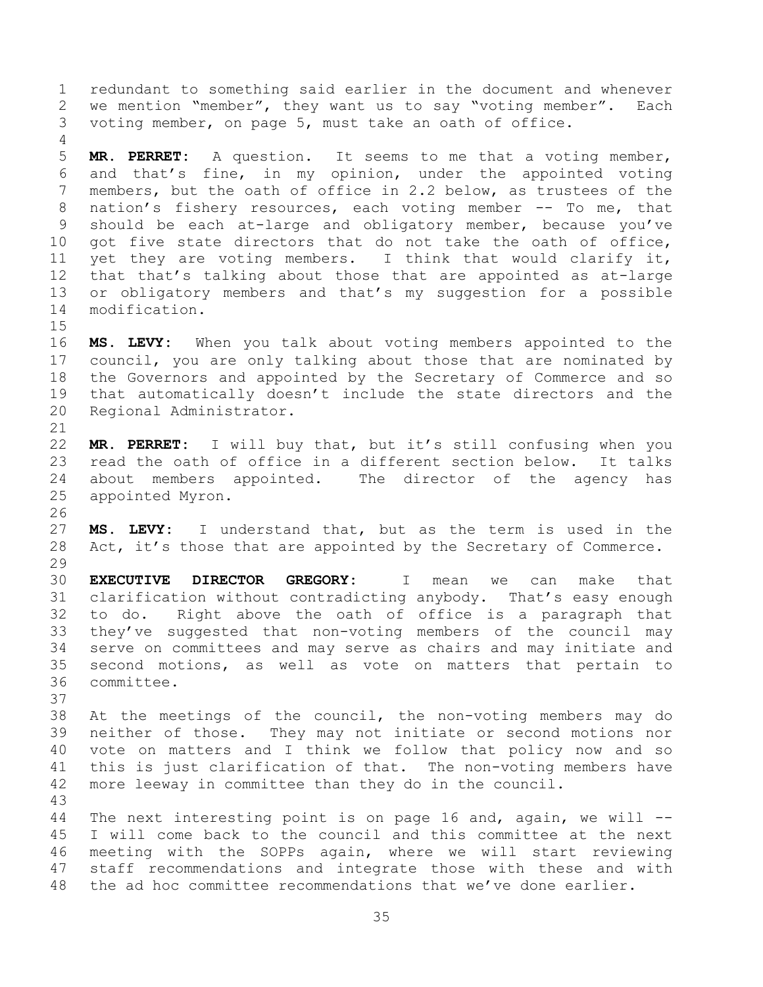redundant to something said earlier in the document and whenever we mention "member", they want us to say "voting member". Each voting member, on page 5, must take an oath of office.

 **MR. PERRET:** A question. It seems to me that a voting member, and that's fine, in my opinion, under the appointed voting members, but the oath of office in 2.2 below, as trustees of the nation's fishery resources, each voting member -- To me, that should be each at-large and obligatory member, because you've got five state directors that do not take the oath of office, yet they are voting members. I think that would clarify it, that that's talking about those that are appointed as at-large or obligatory members and that's my suggestion for a possible modification.

 **MS. LEVY:** When you talk about voting members appointed to the council, you are only talking about those that are nominated by the Governors and appointed by the Secretary of Commerce and so that automatically doesn't include the state directors and the Regional Administrator.

 **MR. PERRET:** I will buy that, but it's still confusing when you read the oath of office in a different section below. It talks about members appointed. The director of the agency has appointed Myron.

 **MS. LEVY:** I understand that, but as the term is used in the Act, it's those that are appointed by the Secretary of Commerce. 

 **EXECUTIVE DIRECTOR GREGORY:** I mean we can make that clarification without contradicting anybody. That's easy enough to do. Right above the oath of office is a paragraph that they've suggested that non-voting members of the council may serve on committees and may serve as chairs and may initiate and second motions, as well as vote on matters that pertain to committee.

 At the meetings of the council, the non-voting members may do neither of those. They may not initiate or second motions nor vote on matters and I think we follow that policy now and so this is just clarification of that. The non-voting members have more leeway in committee than they do in the council.

 The next interesting point is on page 16 and, again, we will -- I will come back to the council and this committee at the next meeting with the SOPPs again, where we will start reviewing staff recommendations and integrate those with these and with the ad hoc committee recommendations that we've done earlier.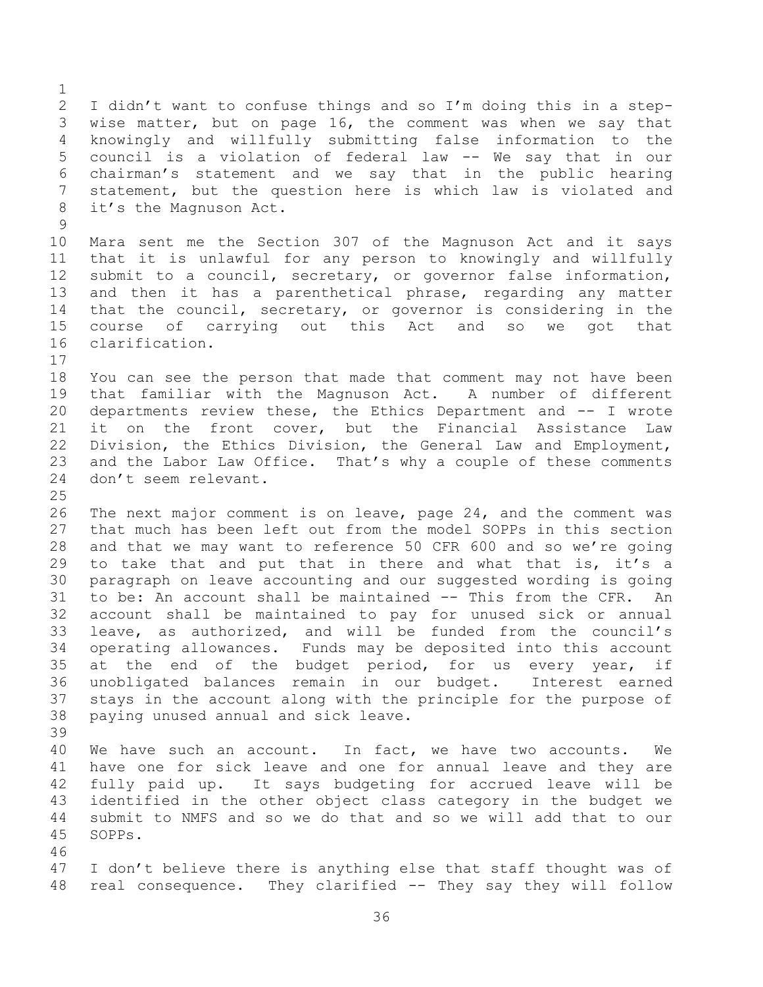I didn't want to confuse things and so I'm doing this in a step- wise matter, but on page 16, the comment was when we say that knowingly and willfully submitting false information to the council is a violation of federal law -- We say that in our chairman's statement and we say that in the public hearing statement, but the question here is which law is violated and it's the Magnuson Act. Mara sent me the Section 307 of the Magnuson Act and it says

 that it is unlawful for any person to knowingly and willfully submit to a council, secretary, or governor false information, and then it has a parenthetical phrase, regarding any matter that the council, secretary, or governor is considering in the course of carrying out this Act and so we got that clarification.

 You can see the person that made that comment may not have been that familiar with the Magnuson Act. A number of different departments review these, the Ethics Department and -- I wrote it on the front cover, but the Financial Assistance Law Division, the Ethics Division, the General Law and Employment, and the Labor Law Office. That's why a couple of these comments don't seem relevant.

 The next major comment is on leave, page 24, and the comment was that much has been left out from the model SOPPs in this section and that we may want to reference 50 CFR 600 and so we're going 29 to take that and put that in there and what that is, it's a paragraph on leave accounting and our suggested wording is going to be: An account shall be maintained -- This from the CFR. An account shall be maintained to pay for unused sick or annual leave, as authorized, and will be funded from the council's operating allowances. Funds may be deposited into this account 35 at the end of the budget period, for us every year, if unobligated balances remain in our budget. Interest earned stays in the account along with the principle for the purpose of paying unused annual and sick leave. 

 We have such an account. In fact, we have two accounts. We have one for sick leave and one for annual leave and they are fully paid up. It says budgeting for accrued leave will be identified in the other object class category in the budget we submit to NMFS and so we do that and so we will add that to our SOPPs.

 I don't believe there is anything else that staff thought was of real consequence. They clarified -- They say they will follow